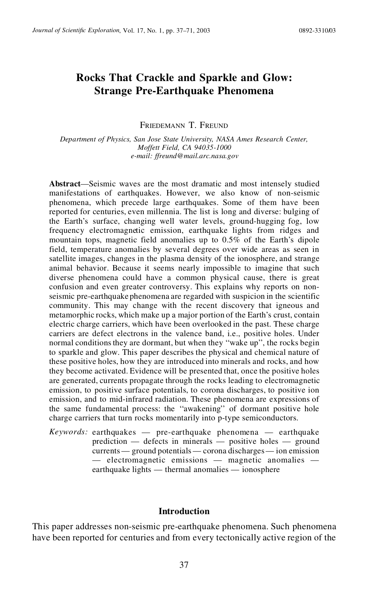# **Rocks That Crackle and Sparkle and Glow: Strange Pre-Earthquake Phenomena**

FRIEDEMANN T. FREUND

*Department of Physics, San Jose State University, NASA Ames Research Center, Moffett Field, CA 94035-1000 e-mail: ffreund@mail.arc.nasa.gov*

**Abstract**—Seismic waves are the most dramatic and most intensely studied manifestations of earthquakes. However, we also know of non-seismic phenomena, which precede large earthquakes. Some of them have been reported for centuries, even millennia. The list is long and diverse: bulging of the Earth's surface, changing well water levels, ground-hugging fog, low frequency electromagnetic emission, earthquake lights from ridges and mountain tops, magnetic field anomalies up to 0.5% of the Earth's dipole field, temperature anomalies by several degrees over wide areas as seen in satellite images, changes in the plasma density of the ionosphere, and strange animal behavior. Because it seems nearly impossible to imagine that such diverse phenomena could have a common physical cause, there is great confusion and even greater controversy. This explains why reports on non seismic pre-earthquake phenomena are regarded with suspicion in the scientific community. This may change with the recent discovery that igneous and metamorphic rocks, which make up a major portion of the Earth's crust, contain electric charge carriers, which have been overlooked in the past. These charge carriers are defect electrons in the valence band, i.e., positive holes. Under normal conditions they are dormant, but when they "wake up", the rocks begin to sparkle and glow. This paper describes the physical and chemical nature of these positive holes, how they are introduced into minerals and rocks, and how they become activated. Evidence will be presented that, once the positive holes are generated, currents propagate through the rocks leading to electromagnetic emission, to positive surface potentials, to corona discharges, to positive ion emission, and to mid-infrared radiation. These phenomena are expressions of the same fundamental process: the ''awakening'' of dormant positive hole charge carriers that turn rocks momentarily into p-type semiconductors.

*Keywords:* earthquakes — pre-earthquake phenomena — earthquake prediction — defects in minerals — positive holes — ground currents— ground potentials— corona discharges— ionemission — electromagnetic emissions — magnetic anomalies earthquake lights — thermal anomalies — ionosphere

### **Introduction**

This paper addresses non-seismic pre-earthquake phenomena. Such phenomena have been reported for centuries and from every tectonically active region of the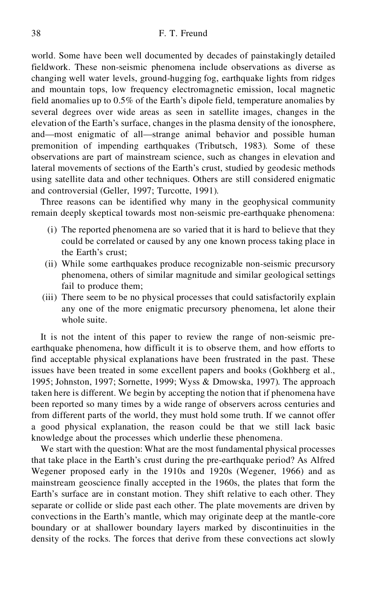world. Some have been well documented by decades of painstakingly detailed fieldwork. These non-seismic phenomena include observations as diverse as changing well water levels, ground-hugging fog, earthquake lights from ridges and mountain tops, low frequency electromagnetic emission, local magnetic field anomalies up to 0.5% of the Earth's dipole field, temperature anomalies by several degrees over wide areas as seen in satellite images, changes in the elevation of the Earth's surface, changes in the plasma density of the ionosphere, and—most enigmatic of all—strange animal behavior and possible human premonition of impending earthquakes (Tributsch, 1983). Some of these observations are part of mainstream science, such as changes in elevation and lateral movements of sections of the Earth's crust, studied by geodesic methods using satellite data and other techniques. Others are still considered enigmatic and controversial (Geller, 1997; Turcotte, 1991).

Three reasons can be identified why many in the geophysical community remain deeply skeptical towards most non-seismic pre-earthquake phenomena:

- (i) The reported phenomena are so varied that it is hard to believe that they could be correlated or caused by any one known process taking place in the Earth's crust;
- (ii) While some earthquakes produce recognizable non-seismic precursory phenomena, others of similar magnitude and similar geological settings fail to produce them;
- (iii) There seem to be no physical processes that could satisfactorily explain any one of the more enigmatic precursory phenomena, let alone their whole suite.

It is not the intent of this paper to review the range of non-seismic preearthquake phenomena, how difficult it is to observe them, and how efforts to find acceptable physical explanations have been frustrated in the past. These issues have been treated in some excellent papers and books (Gokhberg et al., 1995; Johnston, 1997; Sornette, 1999; Wyss & Dmowska, 1997). The approach taken here is different. We begin by accepting the notion that if phenomena have been reported so many times by a wide range of observers across centuries and from different parts of the world, they must hold some truth. If we cannot offer a good physical explanation, the reason could be that we still lack basic knowledge about the processes which underlie these phenomena.

We start with the question: What are the most fundamental physical processes that take place in the Earth's crust during the pre-earthquake period? As Alfred Wegener proposed early in the 1910s and 1920s (Wegener, 1966) and as mainstream geoscience finally accepted in the 1960s, the plates that form the Earth's surface are in constant motion. They shift relative to each other. They separate or collide or slide past each other. The plate movements are driven by convections in the Earth's mantle, which may originate deep at the mantle-core boundary or at shallower boundary layers marked by discontinuities in the density of the rocks. The forces that derive from these convections act slowly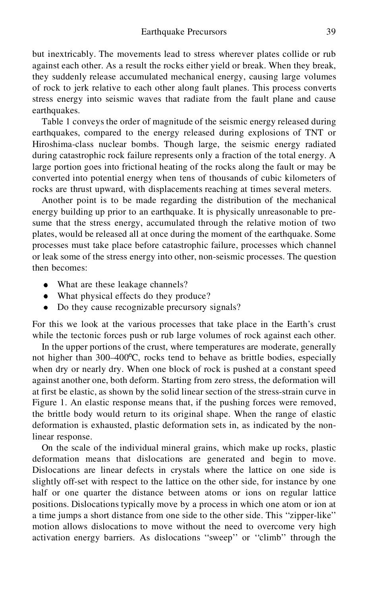but inextricably. The movements lead to stress wherever plates collide or rub against each other. As a result the rocks either yield or break. When they break, they suddenly release accumulated mechanical energy, causing large volumes of rock to jerk relative to each other along fault planes. This process converts stress energy into seismic waves that radiate from the fault plane and cause earthquakes.

Table 1 conveys the order of magnitude of the seismic energy released during earthquakes, compared to the energy released during explosions of TNT or Hiroshima-class nuclear bombs. Though large, the seismic energy radiated during catastrophic rock failure represents only a fraction of the total energy. A large portion goes into frictional heating of the rocks along the fault or may be converted into potential energy when tens of thousands of cubic kilometers of rocks are thrust upward, with displacements reaching at times several meters.

Another point is to be made regarding the distribution of the mechanical energy building up prior to an earthquake. It is physically unreasonable to presume that the stress energy, accumulated through the relative motion of two plates, would be released all at once during the moment of the earthquake. Some processes must take place before catastrophic failure, processes which channel or leak some of the stress energy into other, non-seismic processes. The question then becomes:

- What are these leakage channels?
- What physical effects do they produce?
- Do they cause recognizable precursory signals?

For this we look at the various processes that take place in the Earth's crust while the tectonic forces push or rub large volumes of rock against each other.

In the upper portions of the crust, where temperatures are moderate, generally not higher than  $300-400^{\circ}$ C, rocks tend to behave as brittle bodies, especially when dry or nearly dry. When one block of rock is pushed at a constant speed against another one, both deform. Starting from zero stress, the deformation will at first be elastic, as shown by the solid linear section of the stress-strain curve in Figure 1. An elastic response means that, if the pushing forces were removed, the brittle body would return to its original shape. When the range of elastic deformation is exhausted, plastic deformation sets in, as indicated by the nonlinear response.

On the scale of the individual mineral grains, which make up rocks, plastic deformation means that dislocations are generated and begin to move. Dislocations are linear defects in crystals where the lattice on one side is slightly off-set with respect to the lattice on the other side, for instance by one half or one quarter the distance between atoms or ions on regular lattice positions. Dislocations typically move by a process in which one atom or ion at a time jumps a short distance from one side to the other side. This ''zipper-like'' motion allows dislocations to move without the need to overcome very high activation energy barriers. As dislocations ''sweep'' or ''climb'' through the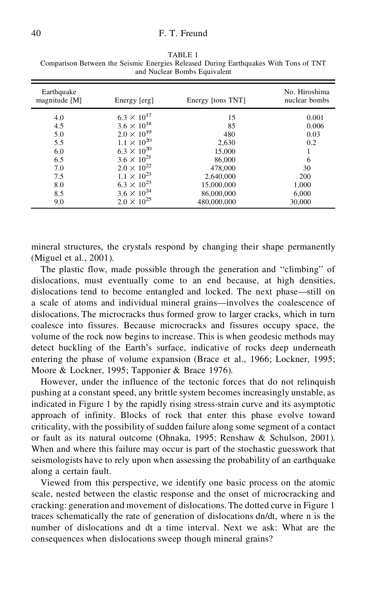| Earthquake<br>magnitude [M] | Energy [erg]         | Energy [tons TNT] | No. Hiroshima<br>nuclear bombs |
|-----------------------------|----------------------|-------------------|--------------------------------|
| 4.0                         | $6.3 \times 10^{17}$ | 15                | 0.001                          |
| 4.5                         | $3.6 \times 10^{18}$ | 85                | 0.006                          |
| 5.0                         | $2.0 \times 10^{19}$ | 480               | 0.03                           |
| 5.5                         | $1.1 \times 10^{20}$ | 2,630             | 0.2                            |
| 6.0                         | $6.3 \times 10^{20}$ | 15,000            |                                |
| 6.5                         | $3.6 \times 10^{21}$ | 86,000            | 6                              |
| 7.0                         | $2.0 \times 10^{22}$ | 478,000           | 30                             |
| 7.5                         | $1.1 \times 10^{23}$ | 2,640,000         | 200                            |
| 8.0                         | $6.3 \times 10^{23}$ | 15,000,000        | 1,000                          |
| 8.5                         | $3.6 \times 10^{24}$ | 86,000,000        | 6,000                          |
| 9.0                         | $2.0 \times 10^{25}$ | 480,000,000       | 30,000                         |

TABLE 1 Comparison Between the Seismic Energies Released During Earthquakes With Tons of TNT and Nuclear Bombs Equivalent

mineral structures, the crystals respond by changing their shape permanently (Miguel et al., 2001).

The plastic flow, made possible through the generation and ''climbing'' of dislocations, must eventually come to an end because, at high densities, dislocations tend to become entangled and locked. The next phase—still on a scale of atoms and individual mineral grains—involves the coalescence of dislocations. The microcracks thus formed grow to larger cracks, which in turn coalesce into fissures. Because microcracks and fissures occupy space, the volume of the rock now begins to increase. This is when geodesic methods may detect buckling of the Earth's surface, indicative of rocks deep underneath entering the phase of volume expansion (Brace et al., 1966; Lockner, 1995; Moore & Lockner, 1995; Tapponier & Brace 1976).

However, under the influence of the tectonic forces that do not relinquish pushing at a constant speed, any brittle system becomes increasingly unstable, as indicated in Figure 1 by the rapidly rising stress-strain curve and its asymptotic approach of infinity. Blocks of rock that enter this phase evolve toward criticality, with the possibility of sudden failure along some segment of a contact or fault as its natural outcome (Ohnaka, 1995; Renshaw & Schulson, 2001). When and where this failure may occur is part of the stochastic guesswork that seismologists have to rely upon when assessing the probability of an earthquake along a certain fault.

Viewed from this perspective, we identify one basic process on the atomic scale, nested between the elastic response and the onset of microcracking and cracking: generation and movement of dislocations. The dotted curve in Figure 1 traces schematically the rate of generation of dislocations dn/dt, where n is the number of dislocations and dt a time interval. Next we ask: What are the consequences when dislocations sweep though mineral grains?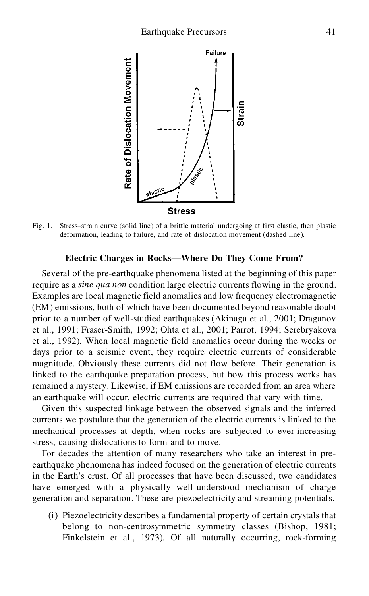

Fig. 1. Stress–strain curve (solid line) of a brittle material undergoing at first elastic, then plastic deformation, leading to failure, and rate of dislocation movement (dashed line).

### **Electric Charges in Rocks—Where Do They Come From?**

Several of the pre-earthquake phenomena listed at the beginning of this paper require as a *sine qua non* condition large electric currents flowing in the ground. Examples are local magnetic field anomalies and low frequency electromagnetic (EM) emissions, both of which have been documented beyond reasonable doubt prior to a number of well-studied earthquakes (Akinaga et al., 2001; Draganov et al., 1991; Fraser-Smith, 1992; Ohta et al., 2001; Parrot, 1994; Serebryakova et al., 1992). When local magnetic field anomalies occur during the weeks or days prior to a seismic event, they require electric currents of considerable magnitude. Obviously these currents did not flow before. Their generation is linked to the earthquake preparation process, but how this process works has remained a mystery. Likewise, if EM emissions are recorded from an area where an earthquake will occur, electric currents are required that vary with time.

Given this suspected linkage between the observed signals and the inferred currents we postulate that the generation of the electric currents is linked to the mechanical processes at depth, when rocks are subjected to ever-increasing stress, causing dislocations to form and to move.

For decades the attention of many researchers who take an interest in preearthquake phenomena has indeed focused on the generation of electric currents in the Earth's crust. Of all processes that have been discussed, two candidates have emerged with a physically well-understood mechanism of charge generation and separation. These are piezoelectricity and streaming potentials.

(i) Piezoelectricity describes a fundamental property of certain crystals that belong to non-centrosymmetric symmetry classes (Bishop, 1981; Finkelstein et al., 1973). Of all naturally occurring, rock-forming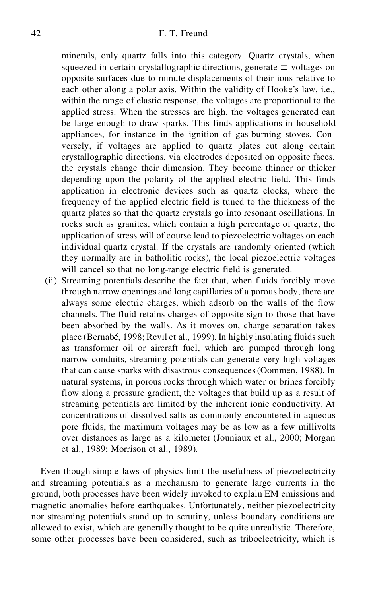minerals, only quartz falls into this category. Quartz crystals, when squeezed in certain crystallographic directions, generate  $\pm$  voltages on opposite surfaces due to minute displacements of their ions relative to each other along a polar axis. Within the validity of Hooke's law, i.e., within the range of elastic response, the voltages are proportional to the applied stress. When the stresses are high, the voltages generated can be large enough to draw sparks. This finds applications in household appliances, for instance in the ignition of gas-burning stoves. Conversely, if voltages are applied to quartz plates cut along certain crystallographic directions, via electrodes deposited on opposite faces, the crystals change their dimension. They become thinner or thicker depending upon the polarity of the applied electric field. This finds application in electronic devices such as quartz clocks, where the frequency of the applied electric field is tuned to the thickness of the quartz plates so that the quartz crystals go into resonant oscillations. In rocks such as granites, which contain a high percentage of quartz, the application of stress will of course lead to piezoelectric voltages on each individual quartz crystal. If the crystals are randomly oriented (which they normally are in batholitic rocks), the local piezoelectric voltages will cancel so that no long-range electric field is generated.

(ii) Streaming potentials describe the fact that, when fluids forcibly move through narrow openings and long capillaries of a porous body, there are always some electric charges, which adsorb on the walls of the flow channels. The fluid retains charges of opposite sign to those that have been absorbed by the walls. As it moves on, charge separation takes place (Bernabé, 1998; Revil et al., 1999). In highly insulating fluids such as transformer oil or aircraft fuel, which are pumped through long narrow conduits, streaming potentials can generate very high voltages that can cause sparks with disastrous consequences(Oommen, 1988). In natural systems, in porous rocks through which water or brines forcibly flow along a pressure gradient, the voltages that build up as a result of streaming potentials are limited by the inherent ionic conductivity. At concentrations of dissolved salts as commonly encountered in aqueous pore fluids, the maximum voltages may be as low as a few millivolts over distances as large as a kilometer (Jouniaux et al., 2000; Morgan et al., 1989; Morrison et al., 1989).

Even though simple laws of physics limit the usefulness of piezoelectricity and streaming potentials as a mechanism to generate large currents in the ground, both processes have been widely invoked to explain EM emissions and magnetic anomalies before earthquakes. Unfortunately, neither piezoelectricity nor streaming potentials stand up to scrutiny, unless boundary conditions are allowed to exist, which are generally thought to be quite unrealistic. Therefore, some other processes have been considered, such as triboelectricity, which is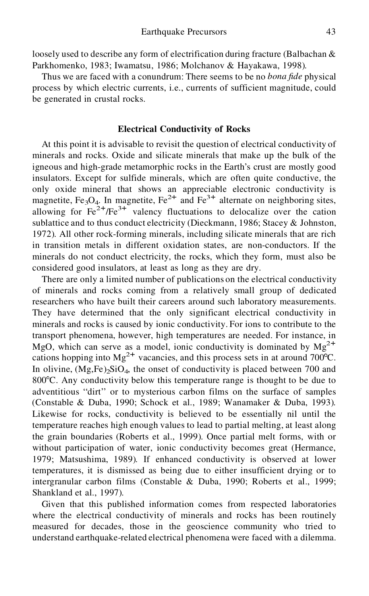loosely used to describe any form of electrification during fracture (Balbachan & Parkhomenko, 1983; Iwamatsu, 1986; Molchanov & Hayakawa, 1998).

Thus we are faced with a conundrum: There seems to be no *bona de* physical process by which electric currents, i.e., currents of sufficient magnitude, could be generated in crustal rocks.

### **Electrical Conductivity of Rocks**

At this point it is advisable to revisit the question of electrical conductivity of minerals and rocks. Oxide and silicate minerals that make up the bulk of the igneous and high-grade metamorphic rocks in the Earth's crust are mostly good insulators. Except for sulfide minerals, which are often quite conductive, the only oxide mineral that shows an appreciable electronic conductivity is magnetite, Fe<sub>3</sub>O<sub>4</sub>. In magnetite, Fe<sup>2+</sup> and Fe<sup>3+</sup> alternate on neighboring sites, allowing for  $Fe^{2+}/Fe^{3+}$  valency fluctuations to delocalize over the cation sublattice and to thus conduct electricity (Dieckmann, 1986; Stacey & Johnston, 1972). All other rock-forming minerals, including silicate minerals that are rich in transition metals in different oxidation states, are non-conductors. If the minerals do not conduct electricity, the rocks, which they form, must also be considered good insulators, at least as long as they are dry.

There are only a limited number of publications on the electrical conductivity of minerals and rocks coming from arelatively small group of dedicated researchers who have built their careers around such laboratory measurements. They have determined that the only significant electrical conductivity in minerals and rocks is caused by ionic conductivity. For ions to contribute to the transport phenomena, however, high temperatures are needed. For instance, in MgO, which can serve as a model, ionic conductivity is dominated by  $Mg^{2+}$ cations hopping into  $Mg^{2+}$  vacancies, and this process sets in at around 700°C. In olivine,  $(Mg, Fe)_{2}SiO_{4}$ , the onset of conductivity is placed between 700 and  $800^{\circ}$ C. Any conductivity below this temperature range is thought to be due to adventitious ''dirt'' or to mysterious carbon films on the surface of samples (Constable & Duba, 1990; Schock et al., 1989; Wanamaker & Duba, 1993). Likewise for rocks, conductivity is believed to be essentially nil until the temperature reaches high enough values to lead to partial melting, at least along the grain boundaries (Roberts et al., 1999). Once partial melt forms, with or without participation of water, ionic conductivity becomes great (Hermance, 1979; Matsushima, 1989). If enhanced conductivity is observed at lower temperatures, it is dismissed as being due to either insufficient drying or to intergranular carbon films (Constable & Duba, 1990; Roberts et al., 1999; Shankland et al., 1997).

Given that this published information comes from respected laboratories where the electrical conductivity of minerals and rocks has been routinely measured for decades, those in the geoscience community who tried to understand earthquake-related electrical phenomena were faced with a dilemma.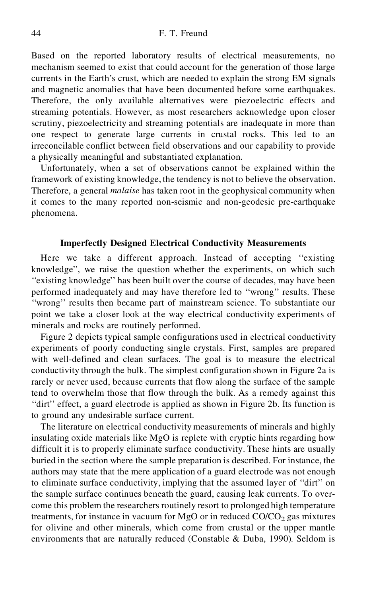Based on the reported laboratory results of electrical measurements, no mechanism seemed to exist that could account for the generation of those large currents in the Earth's crust, which are needed to explain the strong EM signals and magnetic anomalies that have been documented before some earthquakes. Therefore, the only available alternatives were piezoelectric effects and streaming potentials. However, as most researchers acknowledge upon closer scrutiny, piezoelectricity and streaming potentials are inadequate in more than one respect to generate large currents in crustal rocks. This led to an irreconcilable conflict between field observations and our capability to provide a physically meaningful and substantiated explanation.

Unfortunately, when a set of observations cannot be explained within the framework of existing knowledge, the tendency is not to believe the observation. Therefore, a general *malaise* has taken root in the geophysical community when it comes to the many reported non-seismic and non-geodesic pre-earthquake phenomena.

### **Imperfectly Designed Electrical Conductivity Measurements**

Here we take a different approach. Instead of accepting ''existing knowledge'', we raise the question whether the experiments, on which such ''existing knowledge'' has been built over the course of decades, may have been performed inadequately and may have therefore led to ''wrong'' results. These ''wrong'' results then became part of mainstream science. To substantiate our point we take a closer look at the way electrical conductivity experiments of minerals and rocks are routinely performed.

Figure 2 depicts typical sample configurations used in electrical conductivity experiments of poorly conducting single crystals. First, samples are prepared with well-defined and clean surfaces. The goal is to measure the electrical conductivity through the bulk. The simplest configuration shown in Figure 2a is rarely or never used, because currents that flow along the surface of the sample tend to overwhelm those that flow through the bulk. As a remedy against this ''dirt'' effect, a guard electrode is applied as shown in Figure 2b. Its function is to ground any undesirable surface current.

The literature on electrical conductivity measurements of minerals and highly insulating oxide materials like MgO is replete with cryptic hints regarding how difficult it is to properly eliminate surface conductivity. These hints are usually buried in the section where the sample preparation is described. For instance, the authors may state that the mere application of a guard electrode was not enough to eliminate surface conductivity, implying that the assumed layer of ''dirt'' on the sample surface continues beneath the guard, causing leak currents. To overcome this problem the researchers routinely resort to prolonged high temperature treatments, for instance in vacuum for MgO or in reduced  $CO/CO<sub>2</sub>$  gas mixtures for olivine and other minerals, which come from crustal or the upper mantle environments that are naturally reduced (Constable & Duba, 1990). Seldom is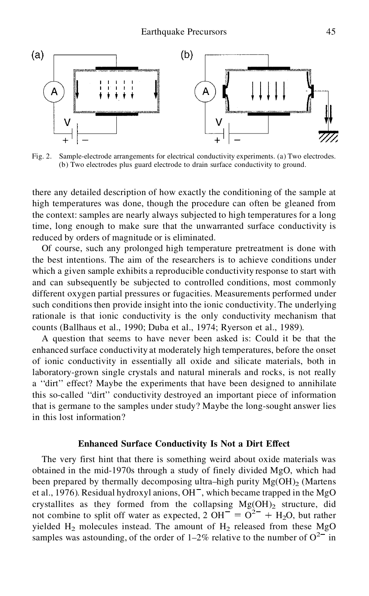

Fig. 2. Sample-electrode arrangements for electrical conductivity experiments. (a) Two electrodes. (b) Two electrodes plus guard electrode to drain surface conductivity to ground.

there any detailed description of how exactly the conditioning of the sample at high temperatures was done, though the procedure can often be gleaned from the context: samples are nearly always subjected to high temperatures for a long time, long enough to make sure that the unwarranted surface conductivity is reduced by orders of magnitude or is eliminated.

Of course, such any prolonged high temperature pretreatment is done with the best intentions. The aim of the researchers is to achieve conditions under which a given sample exhibits a reproducible conductivity response to start with and can subsequently be subjected to controlled conditions, most commonly different oxygen partial pressures or fugacities. Measurements performed under such conditions then provide insight into the ionic conductivity. The underlying rationale is that ionic conductivity is the only conductivity mechanism that counts (Ballhaus et al., 1990; Duba et al., 1974; Ryerson et al., 1989).

A question that seems to have never been asked is: Could it be that the enhanced surface conductivity at moderately high temperatures, before the onset of ionic conductivity in essentially all oxide and silicate materials, both in laboratory-grown single crystals and natural minerals and rocks, is not really a ''dirt'' effect? Maybe the experiments that have been designed to annihilate this so-called ''dirt'' conductivity destroyed an important piece of information that is germane to the samples under study? Maybe the long-sought answer lies in this lost information?

### **Enhanced Surface Conductivity Is Not a Dirt Effect**

The very first hint that there is something weird about oxide materials was obtained in the mid-1970s through a study of finely divided MgO, which had been prepared by thermally decomposing ultra–high purity  $Mg(OH)$ <sub>2</sub> (Martens et al., 1976). Residual hydroxyl anions,  $OH^-$ , which became trapped in the MgO crystallites as they formed from the collapsing  $Mg(OH)_2$  structure, did not combine to split off water as expected,  $2 \overline{OH} = \overline{O^2} + H_2O$ , but rather yielded  $H_2$  molecules instead. The amount of  $H_2$  released from these MgO samples was astounding, of the order of 1–2% relative to the number of  $O^{2-}$  in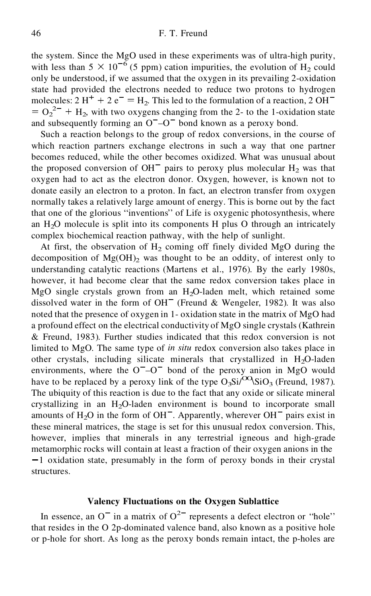the system. Since the MgO used in these experiments was of ultra-high purity, with less than 5  $\times$  10<sup>-6</sup> (5 ppm) cation impurities, the evolution of H<sub>2</sub> could only be understood, if we assumed that the oxygen in its prevailing 2-oxidation state had provided the electrons needed to reduce two protons to hydrogen molecules: 2 H<sup>+</sup> + 2 e<sup>-</sup> = H<sub>2</sub>. This led to the formulation of a reaction, 2 OH<sup>-</sup>  $O_2^{2-}$  + H<sub>2</sub>, with two oxygens changing from the 2- to the 1-oxidation state and subsequently forming an  $O^-$ - $O^-$  bond known as a peroxy bond.

Such a reaction belongs to the group of redox conversions, in the course of which reaction partners exchange electrons in such a way that one partner becomes reduced, while the other becomes oxidized. What was unusual about the proposed conversion of  $OH^-$  pairs to peroxy plus molecular  $H_2$  was that oxygen had to act as the electron donor. Oxygen, however, is known not to donate easily an electron to a proton. In fact, an electron transfer from oxygen normally takes a relatively large amount of energy. This is borne out by the fact that one of the glorious ''inventions'' of Life is oxygenic photosynthesis, where an  $H<sub>2</sub>O$  molecule is split into its components  $H$  plus  $O$  through an intricately complex biochemical reaction pathway, with the help of sunlight.

At first, the observation of  $H<sub>2</sub>$  coming off finely divided MgO during the decomposition of  $Mg(OH)_{2}$  was thought to be an oddity, of interest only to understanding catalytic reactions (Martens et al., 1976). By the early 1980s, however, it had become clear that the same redox conversion takes place in MgO single crystals grown from an  $H_2O$ -laden melt, which retained some dissolved water in the form of  $OH^-$  (Freund & Wengeler, 1982). It was also noted that the presence of oxygen in 1- oxidation state in the matrix of MgO had a profound effect on the electrical conductivity of MgO single crystals (Kathrein & Freund, 1983). Further studies indicated that this redox conversion is not limited to MgO. The same type of *in situ* redox conversion also takes place in other crystals, including silicate minerals that crystallized in  $H_2O$ -laden environments, where the  $O^-$ - $O^-$  bond of the peroxy anion in MgO would have to be replaced by a peroxy link of the type  $O_3Si/^{OQ}$ Si $O_3$  (Freund, 1987). The ubiquity of this reaction is due to the fact that any oxide or silicate mineral crystallizing in an  $H<sub>2</sub>O$ -laden environment is bound to incorporate small amounts of  $H_2O$  in the form of OH<sup>-</sup>. Apparently, wherever OH<sup>-</sup> pairs exist in these mineral matrices, the stage is set for this unusual redox conversion. This, however, implies that minerals in any terrestrial igneous and high-grade metamorphic rocks will contain at least a fraction of their oxygen anions in the  $-1$  oxidation state, presumably in the form of peroxy bonds in their crystal structures.

### **Valency Fluctuations on the Oxygen Sublattice**

In essence, an  $O^-$  in a matrix of  $O^{2-}$  represents a defect electron or "hole" that resides in the O 2p-dominated valence band, also known as a positive hole or p-hole for short. As long as the peroxy bonds remain intact, the p-holes are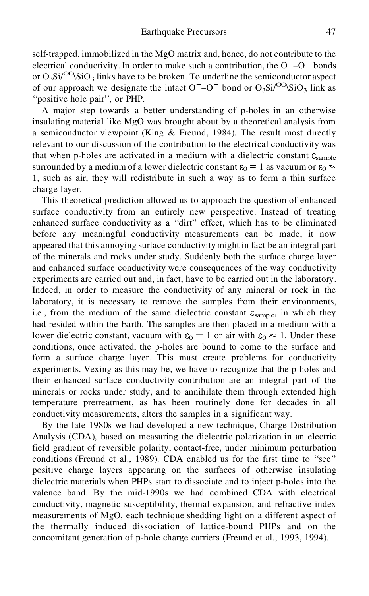self-trapped, immobilized in the MgO matrix and, hence, do not contribute to the electrical conductivity. In order to make such a contribution, the  $O<sup>-</sup>-O<sup>-</sup>$  bonds or  $O_3Si^{OO}$  Si $O_3$  links have to be broken. To underline the semiconductor aspect of our approach we designate the intact  $O^-$ – $O^-$  bond or  $O_3Si^{OO}(SiO_3)$  link as ''positive hole pair'', or PHP.

A major step towards a better understanding of p-holes in an otherwise insulating material like MgO was brought about by a theoretical analysis from a semiconductor viewpoint (King & Freund, 1984). The result most directly relevant to our discussion of the contribution to the electrical conductivity was that when p-holes are activated in a medium with a dielectric constant  $\varepsilon_{\text{sample}}$ surrounded by a medium of a lower dielectric constant  $\varepsilon_0 = 1$  as vacuum or  $\varepsilon_0 \approx$ 1, such as air, they will redistribute in such a way as to form a thin surface charge layer.

This theoretical prediction allowed us to approach the question of enhanced surface conductivity from an entirely new perspective. Instead of treating enhanced surface conductivity as a ''dirt'' effect, which has to be eliminated before any meaningful conductivity measurements can be made, it now appeared that this annoying surface conductivitymight in fact be an integral part of the minerals and rocks under study. Suddenly both the surface charge layer and enhanced surface conductivity were consequences of the way conductivity experiments are carried out and, in fact, have to be carried out in the laboratory. Indeed, in order to measure the conductivity of any mineral or rock in the laboratory, it is necessary to remove the samples from their environments, i.e., from the medium of the same dielectric constant  $\varepsilon$ <sub>sample</sub>, in which they had resided within the Earth. The samples are then placed in a medium with a lower dielectric constant, vacuum with  $\varepsilon_0 = 1$  or air with  $\varepsilon_0 \approx 1$ . Under these conditions, once activated, the p-holes are bound to come to the surface and form a surface charge layer. This must create problems for conductivity experiments. Vexing as this may be, we have to recognize that the p-holes and their enhanced surface conductivity contribution are an integral part of the minerals or rocks under study, and to annihilate them through extended high temperature pretreatment, as has been routinely done for decades in all conductivity measurements, alters the samples in a significant way.

By the late 1980s we had developed a new technique, Charge Distribution Analysis (CDA), based on measuring the dielectric polarization in an electric field gradient of reversible polarity, contact-free, under minimum perturbation conditions (Freund et al., 1989). CDA enabled us for the first time to ''see'' positive charge layers appearing on the surfaces of otherwise insulating dielectric materials when PHPs start to dissociate and to inject p-holes into the valence band. By the mid-1990s we had combined CDA with electrical conductivity, magnetic susceptibility, thermal expansion, and refractive index measurements of MgO, each technique shedding light on a different aspect of the thermally induced dissociation of lattice-bound PHPs and on the concomitant generation of p-hole charge carriers (Freund et al., 1993, 1994).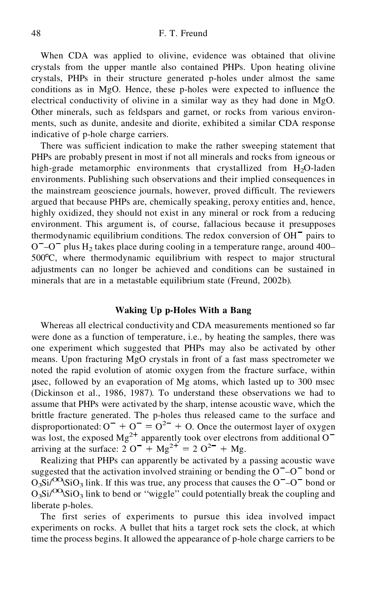When CDA was applied to olivine, evidence was obtained that olivine crystals from the upper mantle also contained PHPs. Upon heating olivine crystals, PHPs in their structure generated p-holes under almost the same conditions as in MgO. Hence, these p-holes were expected to influence the electrical conductivity of olivine in a similar way as they had done in MgO. Other minerals, such as feldspars and garnet, or rocks from various environments, such as dunite, andesite and diorite, exhibited a similar CDA response indicative of p-hole charge carriers.

There was sufficient indication to make the rather sweeping statement that PHPs are probably present in most if not all minerals and rocks from igneous or high-grade metamorphic environments that crystallized from  $H_2O$ -laden environments. Publishing such observations and their implied consequences in the mainstream geoscience journals, however, proved difficult. The reviewers argued that because PHPs are, chemically speaking, peroxy entities and, hence, highly oxidized, they should not exist in any mineral or rock from a reducing environment. This argument is, of course, fallacious because it presupposes thermodynamic equilibrium conditions. The redox conversion of  $OH^-$  pairs to  $O^-$  – $O^-$  plus  $H_2$  takes place during cooling in a temperature range, around 400–  $500^{\circ}$ C, where thermodynamic equilibrium with respect to major structural adjustments can no longer be achieved and conditions can be sustained in minerals that are in a metastable equilibrium state (Freund, 2002b).

### **Waking Up p-Holes With a Bang**

Whereas all electrical conductivity and CDA measurements mentioned so far were done as a function of temperature, i.e., by heating the samples, there was one experiment which suggested that PHPs may also be activated by other means. Upon fracturing MgO crystals in front of a fast mass spectrometer we noted the rapid evolution of atomic oxygen from the fracture surface, within usec, followed by an evaporation of  $Mg$  atoms, which lasted up to 300 msec (Dickinson et al., 1986, 1987). To understand these observations we had to assume that PHPs were activated by the sharp, intense acoustic wave, which the brittle fracture generated. The p-holes thus released came to the surface and disproportionated:  $0^- + 0^- = 0^{2-} + 0$ . Once the outermost layer of oxygen was lost, the exposed  $Mg^{2+}$  apparently took over electrons from additional O<sup>-</sup> arriving at the surface:  $2\overline{O}^{-1}$  Mg<sup>2+</sup> =  $2\overline{O}^{-2}$  + Mg.

Realizing that PHPs can apparently be activated by a passing acoustic wave suggested that the activation involved straining or bending the  $O^-$ – $O^-$  bond or  $O_3$ Si/<sup>OO</sup>\SiO<sub>3</sub> link. If this was true, any process that causes the O<sup>-</sup>-O<sup>-</sup> bond or  $O_3$ Si/ $O_3$  link to bend or "wiggle" could potentially break the coupling and liberate p-holes.

The first series of experiments to pursue this idea involved impact experiments on rocks. A bullet that hits a target rock sets the clock, at which time the process begins. It allowed the appearance of p-hole charge carriers to be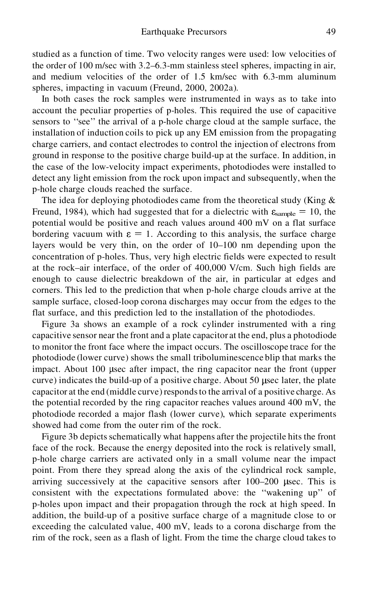studied as a function of time. Two velocity ranges were used: low velocities of the order of 100 m/sec with 3.2–6.3-mm stainless steel spheres, impacting in air, and medium velocities of the order of 1.5 km/sec with 6.3-mm aluminum spheres, impacting in vacuum (Freund, 2000, 2002a).

In both cases the rock samples were instrumented in ways as to take into account the peculiar properties of p-holes. This required the use of capacitive sensors to ''see'' the arrival of a p-hole charge cloud at the sample surface, the installation of induction coils to pick up any EM emission from the propagating charge carriers, and contact electrodes to control the injection of electrons from ground in response to the positive charge build-up at the surface. In addition, in the case of the low-velocity impact experiments, photodiodes were installed to detect any light emission from the rock upon impact and subsequently, when the p-hole charge clouds reached the surface.

The idea for deploying photodiodes came from the theoretical study (King  $\&$ Freund, 1984), which had suggested that for a dielectric with  $\varepsilon_{\text{sample}} = 10$ , the potential would be positive and reach values around 400 mV on a flat surface bordering vacuum with  $\epsilon = 1$ . According to this analysis, the surface charge layers would be very thin, on the order of 10–100 nm depending upon the concentration of p-holes. Thus, very high electric fields were expected to result at the rock–air interface, of the order of 400,000 V/cm. Such high fields are enough to cause dielectric breakdown of the air, in particular at edges and corners. This led to the prediction that when p-hole charge clouds arrive at the sample surface, closed-loop corona discharges may occur from the edges to the flat surface, and this prediction led to the installation of the photodiodes.

Figure 3a shows an example of a rock cylinder instrumented with a ring capacitive sensor near the front and a plate capacitor at the end, plus a photodiode to monitor the front face where the impact occurs. The oscilloscope trace for the photodiode (lower curve) shows the small triboluminescence blip that marks the impact. About 100 usec after impact, the ring capacitor near the front (upper curve) indicates the build-up of a positive charge. About 50  $\mu$ sec later, the plate capacitor at the end (middle curve) responds to the arrival of a positive charge. As the potential recorded by the ring capacitor reaches values around 400 mV, the photodiode recorded a major flash (lower curve), which separate experiments showed had come from the outer rim of the rock.

Figure 3b depicts schematically what happens after the projectile hits the front face of the rock. Because the energy deposited into the rock is relatively small, p-hole charge carriers are activated only in a small volume near the impact point. From there they spread along the axis of the cylindrical rock sample, arriving successively at the capacitive sensors after  $100-200$  usec. This is consistent with the expectations formulated above: the ''wakening up'' of p-holes upon impact and their propagation through the rock at high speed. In addition, the build-up of a positive surface charge of a magnitude close to or exceeding the calculated value, 400 mV, leads to a corona discharge from the rim of the rock, seen as a flash of light. From the time the charge cloud takes to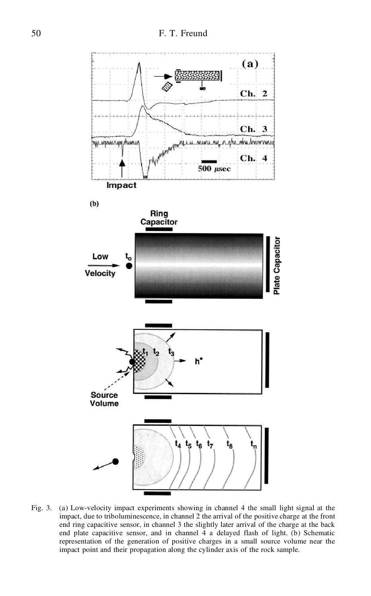

Fig. 3. (a) Low-velocity impact experiments showing in channel 4 the small light signal at the impact, due to triboluminescence, in channel 2 the arrival of the positive charge at the front end ring capacitive sensor, in channel 3 the slightly later arrival of the charge at the back end plate capacitive sensor, and in channel 4 a delayed flash of light. (b) Schematic representation of the generation of positive charges in a small source volume near the impact point and their propagation along the cylinder axis of the rock sample.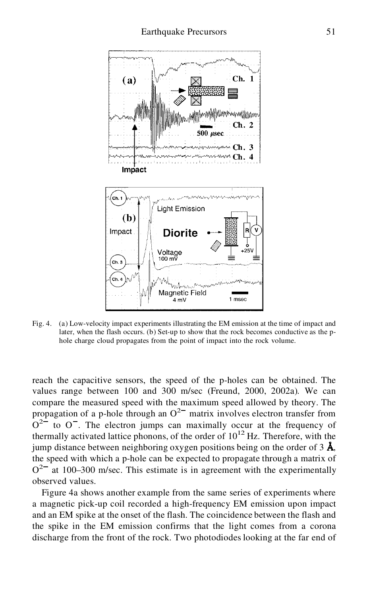

Fig. 4. (a) Low-velocity impact experiments illustrating the EM emission at the time of impact and later, when the flash occurs. (b) Set-up to show that the rock becomes conductive as the phole charge cloud propagates from the point of impact into the rock volume.

reach the capacitive sensors, the speed of the p-holes can be obtained. The values range between 100 and 300 m/sec (Freund, 2000, 2002a). We can compare the measured speed with the maximum speed allowed by theory. The propagation of a p-hole through an  $O^{2-}$  matrix involves electron transfer from  $\overline{O^{2}}$  to  $\overline{O}$ . The electron jumps can maximally occur at the frequency of thermally activated lattice phonons, of the order of  $10^{12}$  Hz. Therefore, with the jump distance between neighboring oxygen positions being on the order of 3  $\AA$ , the speed with which a p-hole can be expected to propagate through a matrix of  $O^{2-}$  at 100–300 m/sec. This estimate is in agreement with the experimentally observed values.

Figure 4a shows another example from the same series of experiments where a magnetic pick-up coil recorded a high-frequency EM emission upon impact and an EM spike at the onset of the flash. The coincidence between the flash and the spike in the EM emission confirms that the light comes from a corona discharge from the front of the rock. Two photodiodes looking at the far end of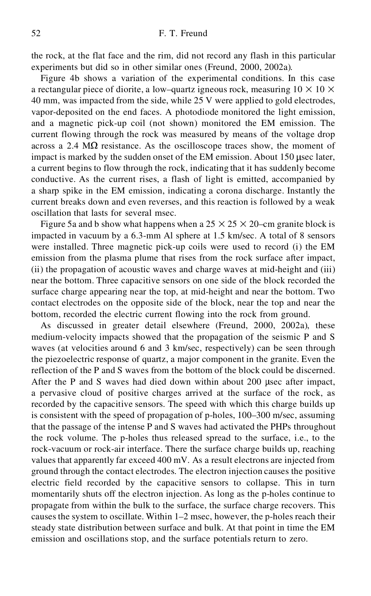the rock, at the flat face and the rim, did not record any flash in this particular experiments but did so in other similar ones (Freund, 2000, 2002a).

Figure 4b shows a variation of the experimental conditions. In this case a rectangular piece of diorite, a low–quartz igneous rock, measuring  $10 \times 10 \times$ 40 mm, was impacted from the side, while 25 V were applied to gold electrodes, vapor-deposited on the end faces. A photodiode monitored the light emission, and a magnetic pick-up coil (not shown) monitored the EM emission. The current flowing through the rock was measured by means of the voltage drop across a 2.4  $\text{M}\Omega$  resistance. As the oscilloscope traces show, the moment of impact is marked by the sudden onset of the EM emission. About 150 usec later, a current begins to flow through the rock, indicating that it has suddenly become conductive. As the current rises, a flash of light is emitted, accompanied by a sharp spike in the EM emission, indicating a corona discharge. Instantly the current breaks down and even reverses, and this reaction is followed by a weak oscillation that lasts for several msec.

Figure 5a and b show what happens when a  $25 \times 25 \times 20$ –cm granite block is impacted in vacuum by a 6.3-mm Al sphere at 1.5 km/sec. A total of 8 sensors were installed. Three magnetic pick-up coils were used to record (i) the EM emission from the plasma plume that rises from the rock surface after impact, (ii) the propagation of acoustic waves and charge waves at mid-height and (iii) near the bottom. Three capacitive sensors on one side of the block recorded the surface charge appearing near the top, at mid-height and near the bottom. Two contact electrodes on the opposite side of the block, near the top and near the bottom, recorded the electric current flowing into the rock from ground.

As discussed in greater detail elsewhere (Freund, 2000, 2002a), these medium-velocity impacts showed that the propagation of the seismic P and S waves (at velocities around 6 and 3 km/sec, respectively) can be seen through the piezoelectric response of quartz, a major component in the granite. Even the reflection of the P and S waves from the bottom of the block could be discerned. After the P and S waves had died down within about  $200$  usec after impact, a pervasive cloud of positive charges arrived at the surface of the rock, as recorded by the capacitive sensors. The speed with which this charge builds up is consistent with the speed of propagation of p-holes, 100–300 m/sec, assuming that the passage of the intense P and S waves had activated the PHPs throughout the rock volume. The p-holes thus released spread to the surface, i.e., to the rock-vacuum or rock-air interface. There the surface charge builds up, reaching values that apparently far exceed 400 mV. As a result electrons are injected from ground through the contact electrodes. The electron injection causes the positive electric field recorded by the capacitive sensors to collapse. This in turn momentarily shuts off the electron injection. As long as the p-holes continue to propagate from within the bulk to the surface, the surface charge recovers. This causes the system to oscillate. Within 1–2 msec, however, the p-holes reach their steady state distribution between surface and bulk. At that point in time the EM emission and oscillations stop, and the surface potentials return to zero.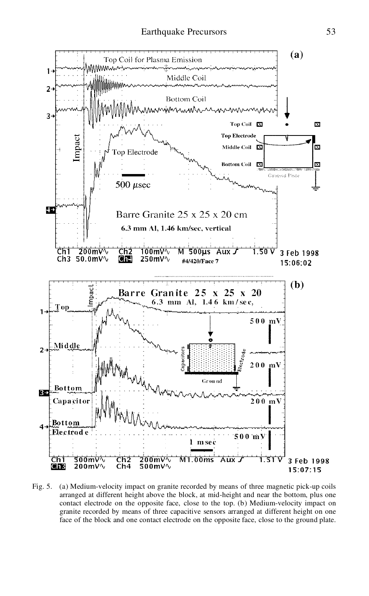

Fig. 5. (a) Medium-velocity impact on granite recorded by means of three magnetic pick-up coils arranged at different height above the block, at mid-height and near the bottom, plus one contact electrode on the opposite face, close to the top. (b) Medium-velocity impact on granite recorded by means of three capacitive sensors arranged at different height on one face of the block and one contact electrode on the opposite face, close to the ground plate.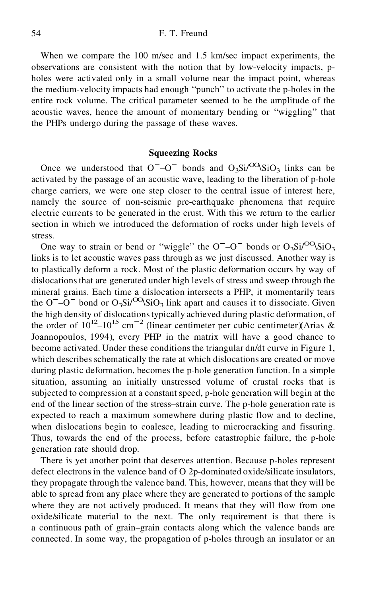When we compare the 100 m/sec and 1.5 km/sec impact experiments, the observations are consistent with the notion that by low-velocity impacts, pholes were activated only in a small volume near the impact point, whereas the medium-velocity impacts had enough ''punch'' to activate the p-holes in the entire rock volume. The critical parameter seemed to be the amplitude of the acoustic waves, hence the amount of momentary bending or ''wiggling'' that the PHPs undergo during the passage of these waves.

### **Squeezing Rocks**

Once we understood that  $O^-$ - $O^-$  bonds and  $O_3Si^{OQ}$ Si $O_3$  links can be activated by the passage of an acoustic wave, leading to the liberation of p-hole charge carriers, we were one step closer to the central issue of interest here, namely the source of non-seismic pre-earthquake phenomena that require electric currents to be generated in the crust. With this we return to the earlier section in which we introduced the deformation of rocks under high levels of stress.

One way to strain or bend or "wiggle" the  $O^{\text{-}}-O^{\text{-}}$  bonds or  $O_3\text{Si}^{O\text{-}}\text{SiO}_3$ links is to let acoustic waves pass through as we just discussed. Another way is to plastically deform a rock. Most of the plastic deformation occurs by way of dislocationsthat are generated under high levels of stress and sweep through the mineral grains. Each time a dislocation intersects a PHP, it momentarily tears the  $O^-$ - $O^-$  bond or  $O_3Si^{OO}(SiO_3)$  link apart and causes it to dissociate. Given the high density of dislocationstypically achieved during plastic deformation, of the order of  $10^{12}$ – $10^{15}$  cm<sup>-2</sup> (linear centimeter per cubic centimeter)(Arias & Joannopoulos, 1994), every PHP in the matrix will have a good chance to become activated. Under these conditions the triangular dn/dt curve in Figure 1, which describes schematically the rate at which dislocations are created or move during plastic deformation, becomes the p-hole generation function. In a simple situation, assuming an initially unstressed volume of crustal rocks that is subjected to compression at a constant speed, p-hole generation will begin at the end of the linear section of the stress–strain curve. The p-hole generation rate is expected to reach a maximum somewhere during plastic flow and to decline, when dislocations begin to coalesce, leading to microcracking and fissuring. Thus, towards the end of the process, before catastrophic failure, the p-hole generation rate should drop.

There is yet another point that deserves attention. Because p-holes represent defect electrons in the valence band of O 2p-dominated oxide/silicate insulators, they propagate through the valence band. This, however, means that they will be able to spread from any place where they are generated to portions of the sample where they are not actively produced. It means that they will flow from one oxide/silicate material to the next. The only requirement is that there is a continuous path of grain–grain contacts along which the valence bands are connected. In some way, the propagation of p-holes through an insulator or an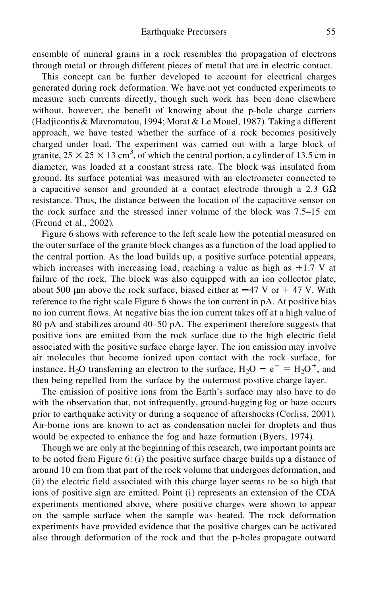ensemble of mineral grains in a rock resembles the propagation of electrons through metal or through different pieces of metal that are in electric contact.

This concept can be further developed to account for electrical charges generated during rock deformation. We have not yet conducted experiments to measure such currents directly, though such work has been done elsewhere without, however, the benefit of knowing about the p-hole charge carriers (Hadjicontis & Mavromatou, 1994; Morat & Le Mouel, 1987). Taking a different approach, we have tested whether the surface of a rock becomes positively charged under load. The experiment was carried out with a large block of granite,  $25 \times 25 \times 13$  cm<sup>3</sup>, of which the central portion, a cylinder of 13.5 cm in diameter, was loaded at a constant stress rate. The block was insulated from ground. Its surface potential was measured with an electrometer connected to a capacitive sensor and grounded at a contact electrode through a 2.3  $G\Omega$ resistance. Thus, the distance between the location of the capacitive sensor on the rock surface and the stressed inner volume of the block was 7.5–15 cm (Freund et al., 2002).

Figure 6 shows with reference to the left scale how the potential measured on the outer surface of the granite block changes as a function of the load applied to the central portion. As the load builds up, a positive surface potential appears, which increases with increasing load, reaching a value as high as  $+1.7$  V at failure of the rock. The block was also equipped with an ion collector plate, about 500 µm above the rock surface, biased either at  $-47$  V or  $+47$  V. With reference to the right scale Figure 6 shows the ion current in pA. At positive bias no ion current flows. At negative bias the ion current takes off at a high value of 80 pA and stabilizes around 40–50 pA. The experiment therefore suggests that positive ions are emitted from the rock surface due to the high electric field associated with the positive surface charge layer. The ion emission may involve air molecules that become ionized upon contact with the rock surface, for instance, H<sub>2</sub>O transferring an electron to the surface, H<sub>2</sub>O –  $e^- = H_2O^+$ , and then being repelled from the surface by the outermost positive charge layer.

The emission of positive ions from the Earth's surface may also have to do with the observation that, not infrequently, ground-hugging fog or haze occurs prior to earthquake activity or during a sequence of aftershocks (Corliss, 2001). Air-borne ions are known to act as condensation nuclei for droplets and thus would be expected to enhance the fog and haze formation (Byers, 1974).

Though we are only at the beginning of this research, two important points are to be noted from Figure 6: (i) the positive surface charge builds up a distance of around 10 cm from that part of the rock volume that undergoes deformation, and (ii) the electric field associated with this charge layer seems to be so high that ions of positive sign are emitted. Point (i) represents an extension of the CDA experiments mentioned above, where positive charges were shown to appear on the sample surface when the sample was heated. The rock deformation experiments have provided evidence that the positive charges can be activated also through deformation of the rock and that the p-holes propagate outward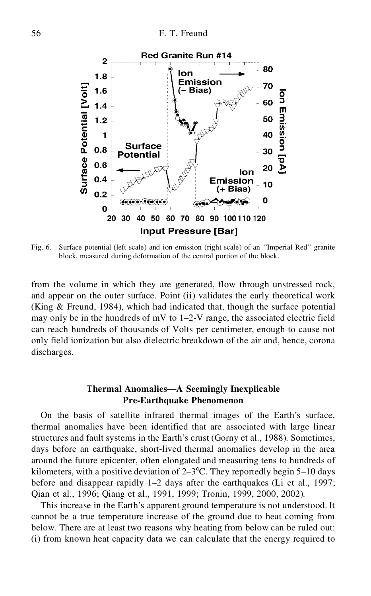

Fig. 6. Surface potential (left scale) and ion emission (right scale) of an ''Imperial Red'' granite block, measured during deformation of the central portion of the block.

from the volume in which they are generated, flow through unstressed rock, and appear on the outer surface. Point (ii) validates the early theoretical work (King & Freund, 1984), which had indicated that, though the surface potential may only be in the hundreds of mV to 1–2-V range, the associated electric field can reach hundreds of thousands of Volts per centimeter, enough to cause not only field ionization but also dielectric breakdown of the air and, hence, corona discharges.

# **Thermal Anomalies—A Seemingly Inexplicable Pre-Earthquake Phenomenon**

On the basis of satellite infrared thermal images of the Earth's surface, thermal anomalies have been identified that are associated with large linear structures and fault systems in the Earth's crust (Gorny et al., 1988). Sometimes, days before an earthquake, short-lived thermal anomalies develop in the area around the future epicenter, often elongated and measuring tens to hundreds of kilometers, with a positive deviation of  $2-3^{\circ}C$ . They reportedly begin 5–10 days before and disappear rapidly 1–2 days after the earthquakes (Li et al., 1997; Qian et al., 1996; Qiang et al., 1991, 1999; Tronin, 1999, 2000, 2002).

This increase in the Earth's apparent ground temperature is not understood. It cannot be a true temperature increase of the ground due to heat coming from below. There are at least two reasons why heating from below can be ruled out: (i) from known heat capacity data we can calculate that the energy required to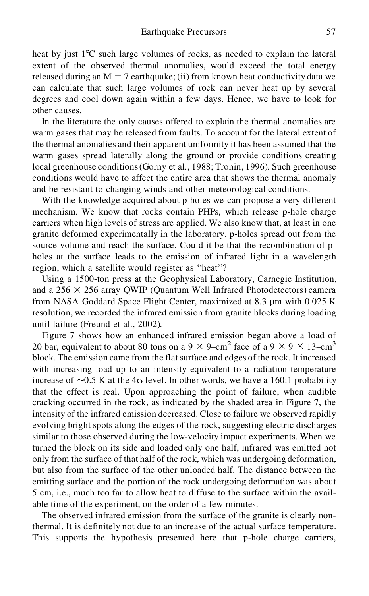heat by just 1°C such large volumes of rocks, as needed to explain the lateral extent of the observed thermal anomalies, would exceed the total energy released during an  $M = 7$  earthquake; (ii) from known heat conductivity data we can calculate that such large volumes of rock can never heat up by several degrees and cool down again within a few days. Hence, we have to look for other causes.

In the literature the only causes offered to explain the thermal anomalies are warm gases that may be released from faults. To account for the lateral extent of the thermal anomalies and their apparent uniformity it has been assumed that the warm gases spread laterally along the ground or provide conditions creating local greenhouse conditions(Gorny et al., 1988; Tronin, 1996). Such greenhouse conditions would have to affect the entire area that shows the thermal anomaly and be resistant to changing winds and other meteorological conditions.

With the knowledge acquired about p-holes we can propose a very different mechanism. We know that rocks contain PHPs, which release p-hole charge carriers when high levels of stress are applied. We also know that, at least in one granite deformed experimentally in the laboratory, p-holes spread out from the source volume and reach the surface. Could it be that the recombination of pholes at the surface leads to the emission of infrared light in a wavelength region, which a satellite would register as ''heat''?

Using a 1500-ton press at the Geophysical Laboratory, Carnegie Institution, and a  $256 \times 256$  array QWIP (Quantum Well Infrared Photodetectors) camera from NASA Goddard Space Flight Center, maximized at 8.3  $\mu$ m with 0.025 K resolution, we recorded the infrared emission from granite blocks during loading until failure (Freund et al., 2002).

Figure 7 shows how an enhanced infrared emission began above a load of 20 bar, equivalent to about 80 tons on a 9  $\times$  9–cm<sup>2</sup> face of a 9  $\times$  9  $\times$  13–cm<sup>3</sup> block. The emission came from the flat surface and edges of the rock. It increased with increasing load up to an intensity equivalent to a radiation temperature increase of  $\sim 0.5$  K at the 4 $\sigma$  level. In other words, we have a 160:1 probability that the effect is real. Upon approaching the point of failure, when audible cracking occurred in the rock, as indicated by the shaded area in Figure 7, the intensity of the infrared emission decreased. Close to failure we observed rapidly evolving bright spots along the edges of the rock, suggesting electric discharges similar to those observed during the low-velocity impact experiments. When we turned the block on its side and loaded only one half, infrared was emitted not only from the surface of that half of the rock, which was undergoing deformation, but also from the surface of the other unloaded half. The distance between the emitting surface and the portion of the rock undergoing deformation was about 5 cm, i.e., much too far to allow heat to diffuse to the surface within the available time of the experiment, on the order of a few minutes.

The observed infrared emission from the surface of the granite is clearly nonthermal. It is definitely not due to an increase of the actual surface temperature. This supports the hypothesis presented here that p-hole charge carriers,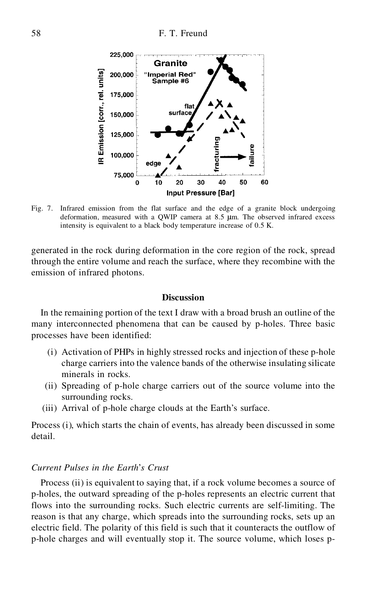

Fig. 7. Infrared emission from the flat surface and the edge of a granite block undergoing deformation, measured with a QWIP camera at  $8.5 \mu m$ . The observed infrared excess intensity is equivalent to a black body temperature increase of 0.5 K.

generated in the rock during deformation in the core region of the rock, spread through the entire volume and reach the surface, where they recombine with the emission of infrared photons.

### **Discussion**

In the remaining portion of the text I draw with a broad brush an outline of the many interconnected phenomena that can be caused by p-holes. Three basic processes have been identified:

- (i) Activation of PHPs in highly stressed rocks and injection of these p-hole charge carriers into the valence bands of the otherwise insulating silicate minerals in rocks.
- (ii) Spreading of p-hole charge carriers out of the source volume into the surrounding rocks.
- (iii) Arrival of p-hole charge clouds at the Earth's surface.

Process (i), which starts the chain of events, has already been discussed in some detail.

### *Current Pulses in the Earth*'*s Crust*

Process (ii) is equivalent to saying that, if a rock volume becomes a source of p-holes, the outward spreading of the p-holes represents an electric current that flows into the surrounding rocks. Such electric currents are self-limiting. The reason is that any charge, which spreads into the surrounding rocks, sets up an electric field. The polarity of this field is such that it counteracts the outflow of p-hole charges and will eventually stop it. The source volume, which loses p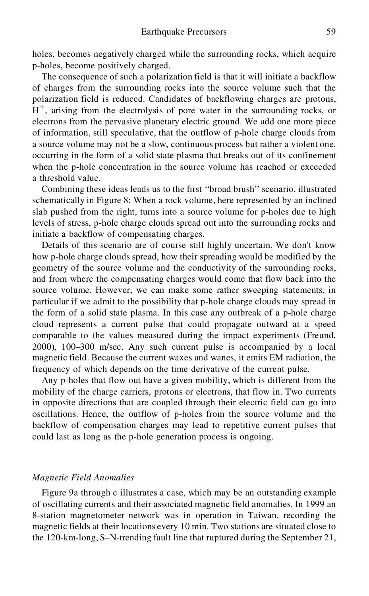holes, becomes negatively charged while the surrounding rocks, which acquire p-holes, become positively charged.

The consequence of such a polarization field is that it will initiate a backflow of charges from the surrounding rocks into the source volume such that the polarization field is reduced. Candidates of backflowing charges are protons,  $H<sup>+</sup>$ , arising from the electrolysis of pore water in the surrounding rocks, or electrons from the pervasive planetary electric ground. We add one more piece of information, still speculative, that the outflow of p-hole charge clouds from a source volume may not be a slow, continuous process but rather a violent one, occurring in the form of a solid state plasma that breaks out of its confinement when the p-hole concentration in the source volume has reached or exceeded a threshold value.

Combining these ideas leads us to the first ''broad brush'' scenario, illustrated schematically in Figure 8: When a rock volume, here represented by an inclined slab pushed from the right, turns into a source volume for p-holes due to high levels of stress, p-hole charge clouds spread out into the surrounding rocks and initiate a backflow of compensating charges.

Details of this scenario are of course still highly uncertain. We don't know how p-hole charge clouds spread, how their spreading would be modified by the geometry of the source volume and the conductivity of the surrounding rocks, and from where the compensating charges would come that flow back into the source volume. However, we can make some rather sweeping statements, in particular if we admit to the possibility that p-hole charge clouds may spread in the form of a solid state plasma. In this case any outbreak of a p-hole charge cloud represents a current pulse that could propagate outward at a speed comparable to the values measured during the impact experiments (Freund, 2000), 100–300 m/sec. Any such current pulse is accompanied by a local magnetic field. Because the current waxes and wanes, it emits EM radiation, the frequency of which depends on the time derivative of the current pulse.

Any p-holes that flow out have a given mobility, which is different from the mobility of the charge carriers, protons or electrons, that flow in. Two currents in opposite directions that are coupled through their electric field can go into oscillations. Hence, the outflow of p-holes from the source volume and the backflow of compensation charges may lead to repetitive current pulses that could last as long as the p-hole generation process is ongoing.

### *Magnetic Field Anomalies*

Figure 9a through c illustrates a case, which may be an outstanding example of oscillating currents and their associated magnetic field anomalies. In 1999 an 8-station magnetometer network was in operation in Taiwan, recording the magnetic fields at their locations every 10 min. Two stations are situated close to the 120-km-long, S–N-trending fault line that ruptured during the September 21,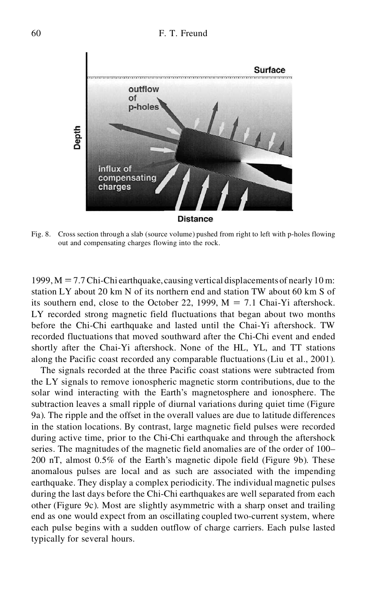

Fig. 8. Cross section through a slab (source volume) pushed from right to left with p-holes flowing out and compensating charges flowing into the rock.

1999,  $M = 7.7$ Chi-Chi earthquake, causing vertical displacements of nearly 10 m: station LY about 20 km N of its northern end and station TW about 60 km S of its southern end, close to the October 22, 1999,  $M = 7.1$  Chai-Yi aftershock. LY recorded strong magnetic field fluctuations that began about two months before the Chi-Chi earthquake and lasted until the Chai-Yi aftershock. TW recorded fluctuations that moved southward after the Chi-Chi event and ended shortly after the Chai-Yi aftershock. None of the HL, YL, and TT stations along the Pacific coast recorded any comparable fluctuations (Liu et al., 2001).

The signals recorded at the three Pacific coast stations were subtracted from the LY signals to remove ionospheric magnetic storm contributions, due to the solar wind interacting with the Earth's magnetosphere and ionosphere. The subtraction leaves a small ripple of diurnal variations during quiet time (Figure 9a). The ripple and the offset in the overall values are due to latitude differences in the station locations. By contrast, large magnetic field pulses were recorded during active time, prior to the Chi-Chi earthquake and through the aftershock series. The magnitudes of the magnetic field anomalies are of the order of 100– 200 nT, almost 0.5% of the Earth's magnetic dipole field (Figure 9b). These anomalous pulses are local and as such are associated with the impending earthquake. They display a complex periodicity. The individual magnetic pulses during the last days before the Chi-Chi earthquakes are well separated from each other (Figure 9c). Most are slightly asymmetric with a sharp onset and trailing end as one would expect from an oscillating coupled two-current system, where each pulse begins with a sudden outflow of charge carriers. Each pulse lasted typically for several hours.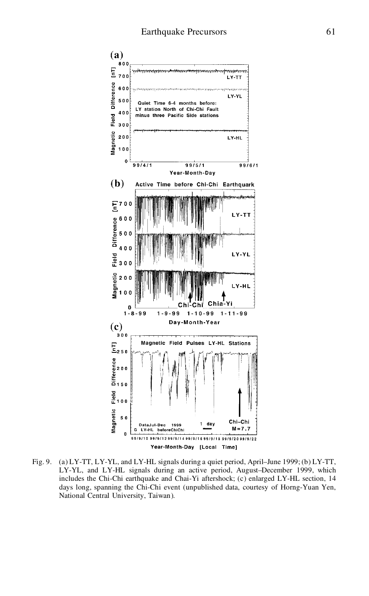

Fig. 9. (a) LY-TT, LY-YL, and LY-HL signals during a quiet period, April–June 1999; (b) LY-TT, LY-YL, and LY-HL signals during an active period, August–December 1999, which includes the Chi-Chi earthquake and Chai-Yi aftershock; (c) enlarged LY-HL section, 14 days long, spanning the Chi-Chi event (unpublished data, courtesy of Horng-Yuan Yen, National Central University, Taiwan).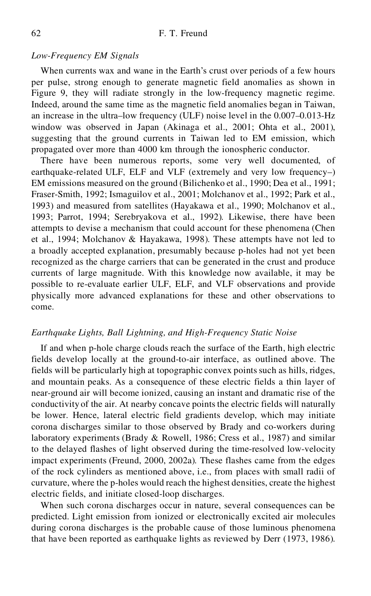#### *Low-Frequency EM Signals*

When currents wax and wane in the Earth's crust over periods of a few hours per pulse, strong enough to generate magnetic field anomalies as shown in Figure 9, they will radiate strongly in the low-frequency magnetic regime. Indeed, around the same time as the magnetic field anomalies began in Taiwan, an increase in the ultra–low frequency (ULF) noise level in the 0.007–0.013-Hz window was observed in Japan (Akinaga et al., 2001; Ohta et al., 2001), suggesting that the ground currents in Taiwan led to EM emission, which propagated over more than 4000 km through the ionospheric conductor.

There have been numerous reports, some very well documented, of earthquake-related ULF, ELF and VLF (extremely and very low frequency–) EM emissions measured on the ground (Bilichenko et al., 1990; Dea et al., 1991; Fraser-Smith, 1992; Ismaguilov et al., 2001; Molchanov et al., 1992; Park et al., 1993) and measured from satellites (Hayakawa et al., 1990; Molchanov et al., 1993; Parrot, 1994; Serebryakova et al., 1992). Likewise, there have been attempts to devise a mechanism that could account for these phenomena (Chen et al., 1994; Molchanov & Hayakawa, 1998). These attempts have not led to a broadly accepted explanation, presumably because p-holes had not yet been recognized as the charge carriers that can be generated in the crust and produce currents of large magnitude. With this knowledge now available, it may be possible to re-evaluate earlier ULF, ELF, and VLF observations and provide physically more advanced explanations for these and other observations to come.

### *Earthquake Lights, Ball Lightning, and High-Frequency Static Noise*

If and when p-hole charge clouds reach the surface of the Earth, high electric fields develop locally at the ground-to-air interface, as outlined above. The fields will be particularly high at topographic convex points such as hills, ridges, and mountain peaks. As a consequence of these electric fields a thin layer of near-ground air will become ionized, causing an instant and dramatic rise of the conductivity of the air. At nearby concave points the electric fields will naturally be lower. Hence, lateral electric field gradients develop, which may initiate corona discharges similar to those observed by Brady and co-workers during laboratory experiments (Brady & Rowell, 1986; Cress et al., 1987) and similar to the delayed flashes of light observed during the time-resolved low-velocity impact experiments (Freund, 2000, 2002a). These flashes came from the edges of the rock cylinders as mentioned above, i.e., from places with small radii of curvature, where the p-holes would reach the highest densities, create the highest electric fields, and initiate closed-loop discharges.

When such corona discharges occur in nature, several consequences can be predicted. Light emission from ionized or electronically excited air molecules during corona discharges is the probable cause of those luminous phenomena that have been reported as earthquake lights as reviewed by Derr (1973, 1986).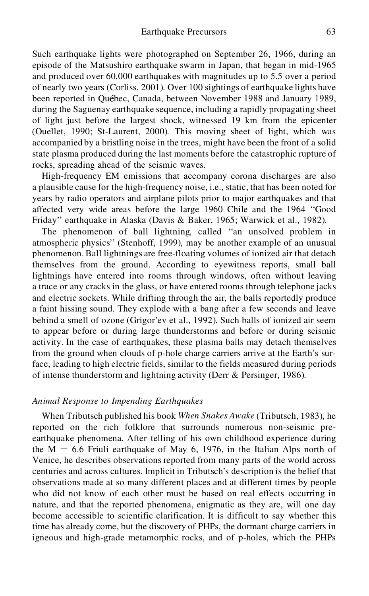Such earthquake lights were photographed on September 26, 1966, during an episode of the Matsushiro earthquake swarm in Japan, that began in mid-1965 and produced over 60,000 earthquakes with magnitudes up to 5.5 over a period of nearly two years (Corliss, 2001). Over 100 sightings of earthquake lights have been reported in Québec, Canada, between November 1988 and January 1989, during the Saguenay earthquake sequence, including a rapidly propagating sheet of light just before the largest shock, witnessed 19 km from the epicenter (Ouellet, 1990; St-Laurent, 2000). This moving sheet of light, which was accompanied by a bristling noise in the trees, might have been the front of a solid state plasma produced during the last moments before the catastrophic rupture of rocks, spreading ahead of the seismic waves.

High-frequency EM emissions that accompany corona discharges are also a plausible cause for the high-frequency noise, i.e., static, that has been noted for years by radio operators and airplane pilots prior to major earthquakes and that affected very wide areas before the large 1960 Chile and the 1964 ''Good Friday'' earthquake in Alaska (Davis & Baker, 1965; Warwick et al., 1982).

The phenomenon of ball lightning, called ''an unsolved problem in atmospheric physics'' (Stenhoff, 1999), may be another example of an unusual phenomenon. Ball lightnings are free-floating volumes of ionized air that detach themselves from the ground. According to eyewitness reports, small ball lightnings have entered into rooms through windows, often without leaving a trace or any cracks in the glass, or have entered rooms through telephone jacks and electric sockets. While drifting through the air, the balls reportedly produce a faint hissing sound. They explode with a bang after a few seconds and leave behind a smell of ozone (Grigor'ev et al., 1992). Such balls of ionized air seem to appear before or during large thunderstorms and before or during seismic activity. In the case of earthquakes, these plasma balls may detach themselves from the ground when clouds of p-hole charge carriers arrive at the Earth's surface, leading to high electric fields, similar to the fields measured during periods of intense thunderstorm and lightning activity (Derr & Persinger, 1986).

## *Animal Response to Impending Earthquakes*

When Tributsch published his book *When Snakes Awake* (Tributsch, 1983), he reported on the rich folklore that surrounds numerous non-seismic preearthquake phenomena. After telling of his own childhood experience during the  $M = 6.6$  Friuli earthquake of May 6, 1976, in the Italian Alps north of Venice, he describes observations reported from many parts of the world across centuries and across cultures. Implicit in Tributsch's description is the belief that observations made at so many different places and at different times by people who did not know of each other must be based on real effects occurring in nature, and that the reported phenomena, enigmatic as they are, will one day become accessible to scientific clarification. It is difficult to say whether this time has already come, but the discovery of PHPs, the dormant charge carriers in igneous and high-grade metamorphic rocks, and of p-holes, which the PHPs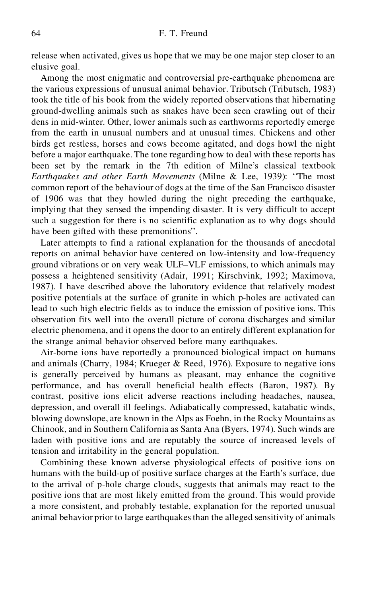release when activated, gives us hope that we may be one major step closer to an elusive goal.

Among the most enigmatic and controversial pre-earthquake phenomena are the various expressions of unusual animal behavior. Tributsch (Tributsch, 1983) took the title of his book from the widely reported observations that hibernating ground-dwelling animals such as snakes have been seen crawling out of their dens in mid-winter. Other, lower animals such as earthworms reportedly emerge from the earth in unusual numbers and at unusual times. Chickens and other birds get restless, horses and cows become agitated, and dogs howl the night before a major earthquake. The tone regarding how to deal with these reports has been set by the remark in the 7th edition of Milne's classical textbook *Earthquakes and other Earth Movements* (Milne & Lee, 1939): ''The most common report of the behaviour of dogs at the time of the San Francisco disaster of 1906 was that they howled during the night preceding the earthquake, implying that they sensed the impending disaster. It is very difficult to accept such a suggestion for there is no scientific explanation as to why dogs should have been gifted with these premonitions''.

Later attempts to find a rational explanation for the thousands of anecdotal reports on animal behavior have centered on low-intensity and low-frequency ground vibrations or on very weak ULF–VLF emissions, to which animals may possess a heightened sensitivity (Adair, 1991; Kirschvink, 1992; Maximova, 1987). I have described above the laboratory evidence that relatively modest positive potentials at the surface of granite in which p-holes are activated can lead to such high electric fields as to induce the emission of positive ions. This observation fits well into the overall picture of corona discharges and similar electric phenomena, and it opens the door to an entirely different explanation for the strange animal behavior observed before many earthquakes.

Air-borne ions have reportedly a pronounced biological impact on humans and animals (Charry, 1984; Krueger & Reed, 1976). Exposure to negative ions is generally perceived by humans as pleasant, may enhance the cognitive performance, and has overall beneficial health effects (Baron, 1987). By contrast, positive ions elicit adverse reactions including headaches, nausea, depression, and overall ill feelings. Adiabatically compressed, katabatic winds, blowing downslope, are known in the Alps as Foehn, in the Rocky Mountains as Chinook, and in Southern California as Santa Ana (Byers, 1974). Such winds are laden with positive ions and are reputably the source of increased levels of tension and irritability in the general population.

Combining these known adverse physiological effects of positive ions on humans with the build-up of positive surface charges at the Earth's surface, due to the arrival of p-hole charge clouds, suggests that animals may react to the positive ions that are most likely emitted from the ground. This would provide a more consistent, and probably testable, explanation for the reported unusual animal behavior prior to large earthquakesthan the alleged sensitivity of animals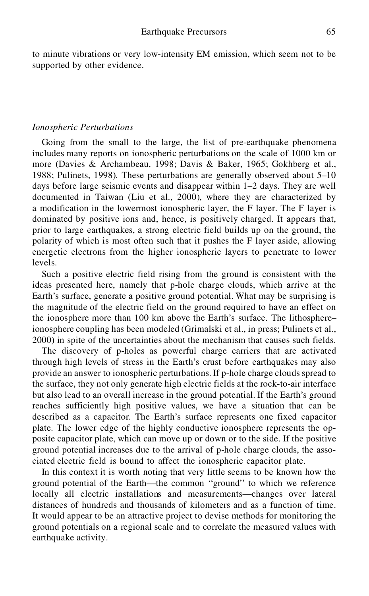to minute vibrations or very low-intensity EM emission, which seem not to be supported by other evidence.

### *Ionospheric Perturbations*

Going from the small to the large, the list of pre-earthquake phenomena includes many reports on ionospheric perturbations on the scale of 1000 km or more (Davies & Archambeau, 1998; Davis & Baker, 1965; Gokhberg et al., 1988; Pulinets, 1998). These perturbations are generally observed about 5–10 days before large seismic events and disappear within 1–2 days. They are well documented in Taiwan (Liu et al., 2000), where they are characterized by a modification in the lowermost ionospheric layer, the F layer. The F layer is dominated by positive ions and, hence, is positively charged. It appears that, prior to large earthquakes, a strong electric field builds up on the ground, the polarity of which is most often such that it pushes the F layer aside, allowing energetic electrons from the higher ionospheric layers to penetrate to lower levels.

Such a positive electric field rising from the ground is consistent with the ideas presented here, namely that p-hole charge clouds, which arrive at the Earth's surface, generate a positive ground potential. What may be surprising is the magnitude of the electric field on the ground required to have an effect on the ionosphere more than 100 km above the Earth's surface. The lithosphere– ionosphere coupling has been modeled (Grimalski et al., in press; Pulinets et al., 2000) in spite of the uncertainties about the mechanism that causes such fields.

The discovery of p-holes as powerful charge carriers that are activated through high levels of stress in the Earth's crust before earthquakes may also provide an answer to ionospheric perturbations. If p-hole charge clouds spread to the surface, they not only generate high electric fields at the rock-to-air interface but also lead to an overall increase in the ground potential. If the Earth's ground reaches sufficiently high positive values, we have a situation that can be described as a capacitor. The Earth's surface represents one fixed capacitor plate. The lower edge of the highly conductive ionosphere represents the opposite capacitor plate, which can move up or down or to the side. If the positive ground potential increases due to the arrival of p-hole charge clouds, the associated electric field is bound to affect the ionospheric capacitor plate.

In this context it is worth noting that very little seems to be known how the ground potential of the Earth—the common ''ground'' to which we reference locally all electric installations and measurements—changes over lateral distances of hundreds and thousands of kilometers and as a function of time. It would appear to be an attractive project to devise methods for monitoring the ground potentials on a regional scale and to correlate the measured values with earthquake activity.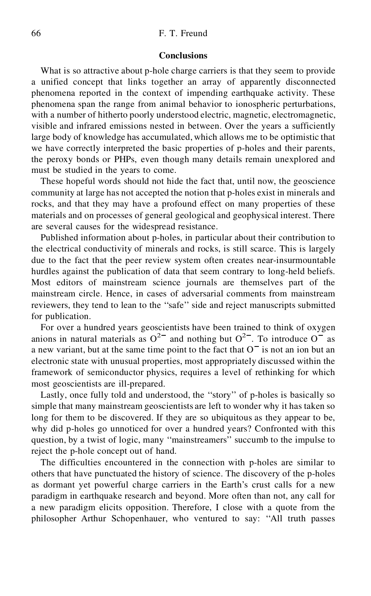#### 66 F. T. Freund

#### **Conclusions**

What is so attractive about p-hole charge carriers is that they seem to provide a unified concept that links together an array of apparently disconnected phenomena reported in the context of impending earthquake activity. These phenomena span the range from animal behavior to ionospheric perturbations, with a number of hitherto poorly understood electric, magnetic, electromagnetic, visible and infrared emissions nested in between. Over the years a sufficiently large body of knowledge has accumulated, which allows me to be optimistic that we have correctly interpreted the basic properties of p-holes and their parents, the peroxy bonds or PHPs, even though many details remain unexplored and must be studied in the years to come.

These hopeful words should not hide the fact that, until now, the geoscience community at large has not accepted the notion that p-holes exist in minerals and rocks, and that they may have a profound effect on many properties of these materials and on processes of general geological and geophysical interest. There are several causes for the widespread resistance.

Published information about p-holes, in particular about their contribution to the electrical conductivity of minerals and rocks, is still scarce. This is largely due to the fact that the peer review system often creates near-insurmountable hurdles against the publication of data that seem contrary to long-held beliefs. Most editors of mainstream science journals are themselves part of the mainstream circle. Hence, in cases of adversarial comments from mainstream reviewers, they tend to lean to the ''safe'' side and reject manuscripts submitted for publication.

For over a hundred years geoscientists have been trained to think of oxygen anions in natural materials as  $O^{2-}$  and nothing but  $O^{2-}$ . To introduce  $O^{-}$  as a new variant, but at the same time point to the fact that  $O<sup>-</sup>$  is not an ion but an electronic state with unusual properties, most appropriately discussed within the framework of semiconductor physics, requires a level of rethinking for which most geoscientists are ill-prepared.

Lastly, once fully told and understood, the ''story'' of p-holes is basically so simple that many mainstream geoscientists are left to wonder why it has taken so long for them to be discovered. If they are so ubiquitous as they appear to be, why did p-holes go unnoticed for over a hundred years? Confronted with this question, by a twist of logic, many ''mainstreamers'' succumb to the impulse to reject the p-hole concept out of hand.

The difficulties encountered in the connection with p-holes are similar to others that have punctuated the history of science. The discovery of the p-holes as dormant yet powerful charge carriers in the Earth's crust calls for a new paradigm in earthquake research and beyond. More often than not, any call for a new paradigm elicits opposition. Therefore, I close with a quote from the philosopher Arthur Schopenhauer, who ventured to say: ''All truth passes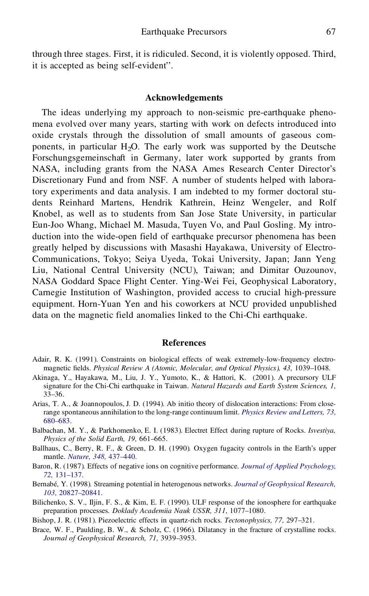through three stages. First, it is ridiculed. Second, it is violently opposed. Third, it is accepted as being self-evident''.

### **Acknowledgements**

The ideas underlying my approach to non-seismic pre-earthquake phenomena evolved over many years, starting with work on defects introduced into oxide crystals through the dissolution of small amounts of gaseous components, in particular  $H_2O$ . The early work was supported by the Deutsche Forschungsgemeinschaft in Germany, later work supported by grants from NASA, including grants from the NASA Ames Research Center Director's Discretionary Fund and from NSF. A number of students helped with laboratory experiments and data analysis. I am indebted to my former doctoral students Reinhard Martens, Hendrik Kathrein, Heinz Wengeler, and Rolf Knobel, as well as to students from San Jose State University, in particular Eun-Joo Whang, Michael M. Masuda, Tuyen Vo, and Paul Gosling. My introduction into the wide-open field of earthquake precursor phenomena has been greatly helped by discussions with Masashi Hayakawa, University of Electro-Communications, Tokyo; Seiya Uyeda, Tokai University, Japan; Jann Yeng Liu, National Central University (NCU), Taiwan; and Dimitar Ouzounov, NASA Goddard Space Flight Center. Ying-Wei Fei, Geophysical Laboratory, Carnegie Institution of Washington, provided access to crucial high-pressure equipment. Horn-Yuan Yen and his coworkers at NCU provided unpublished data on the magnetic field anomalies linked to the Chi-Chi earthquake.

### **References**

- Adair, R. K. (1991). Constraints on biological effects of weak extremely-low-frequency electromagnetic elds. *Physical Review A (Atomic, Molecular, and Optical Physics), 43,* 1039–1048.
- Akinaga, Y., Hayakawa, M., Liu, J. Y., Yumoto, K., & Hattori, K. (2001). A precursory ULF signature for the Chi-Chi earthquake in Taiwan. *Natural Hazards and Earth System Sciences, 1,* 33–36.
- Arias, T. A., & Joannopoulos, J. D. (1994). Ab initio theory of dislocation interactions: From closerange spontaneous annihilation to the long-range continuum limit. *[Physics](http://www.ingentaselect.com/rpsv/cgi-bin/linker?ext=a&reqidx=/0031-9007^28^2973L.680[aid=4800073]) Review and Letters, 73,* [680–683.](http://www.ingentaselect.com/rpsv/cgi-bin/linker?ext=a&reqidx=/0031-9007^28^2973L.680[aid=4800073])
- Balbachan, M. Y., & Parkhomenko, E. I. (1983). Electret Effect during rupture of Rocks. *Isvestiya, Physics of the Solid Earth, 19,* 661–665.
- Ballhaus, C., Berry, R. F., & Green, D. H. (1990). Oxygen fugacity controls in the Earth's upper mantle. *Nature, 348,* [437–440.](http://www.ingentaselect.com/rpsv/cgi-bin/linker?ext=a&reqidx=/0028-0836^28^29348L.437[aid=4800074])
- Baron, R. (1987). Effects of negative ions on cognitive performance. *Journal of Applied [Psychology,](http://www.ingentaselect.com/rpsv/cgi-bin/linker?ext=a&reqidx=/0021-9010^28^2972L.131[aid=4800075]) 72,* [131–137.](http://www.ingentaselect.com/rpsv/cgi-bin/linker?ext=a&reqidx=/0021-9010^28^2972L.131[aid=4800075])
- Bernabe´, Y. (1998). Streaming potential in heterogenous networks. *Journal of [Geophysical](http://www.ingentaselect.com/rpsv/cgi-bin/linker?ext=a&reqidx=/0148-0227^28^29103L.20827[aid=4800076]) Research, 103,* [20827–20841.](http://www.ingentaselect.com/rpsv/cgi-bin/linker?ext=a&reqidx=/0148-0227^28^29103L.20827[aid=4800076])
- Bilichenko, S. V., Iljin, F. S., & Kim, E. F. (1990). ULF response of the ionosphere for earthquake preparation processes. *Doklady Academiia Nauk USSR, 311,* 1077–1080.
- Bishop, J. R. (1981). Piezoelectric effects in quartz-rich rocks. *Tectonophysics, 77,* 297–321.
- Brace, W. F., Paulding, B. W., & Scholz, C. (1966). Dilatancy in the fracture of crystalline rocks. *Journal of Geophysical Research, 71,* 3939–3953.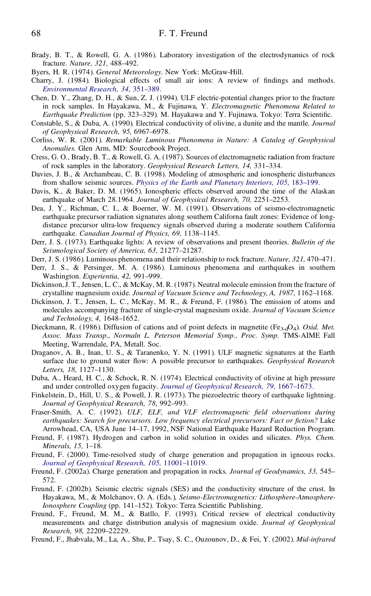- Brady, B. T., & Rowell, G. A. (1986). Laboratory investigation of the electrodynamics of rock fracture. *Nature, 321,* 488–492.
- Byers, H. R. (1974). *General Meteorology.* New York: McGraw-Hill.
- Charry, J. (1984). Biological effects of small air ions: A review of findings and methods. *[Environmental](http://www.ingentaselect.com/rpsv/cgi-bin/linker?ext=a&reqidx=/0013-9351^28^2934L.351[aid=3368301]) Research, 34,* 351–389.
- Chen, D. Y., Zhang, D. H., & Sun, Z. J. (1994). ULF electric-potential changes prior to the fracture in rock samples. In Hayakawa, M., & Fujinawa, Y. *Electromagnetic Phenomena Related to Earthquake Prediction* (pp. 323–329). M. Hayakawa and Y. Fujinawa. Tokyo: Terra Scientific.
- Constable, S., & Duba, A. (1990). Electrical conductivity of olivine, a dunite and the mantle. *Journal of Geophysical Research, 95,* 6967–6978.
- Corliss, W. R. (2001). *Remarkable Luminous Phenomena in Nature: A Catalog of Geophysical Anomalies.* Glen Arm, MD: Sourcebook Project.
- Cress, G. O., Brady, B. T., & Rowell, G. A. (1987). Sources of electromagnetic radiation from fracture of rock samples in the laboratory. *Geophysical Research Letters, 14,* 331–334.
- Davies, J. B., & Archambeau, C. B. (1998). Modeling of atmospheric and ionospheric disturbances from shallow seismic sources. *Physics of the Earth and [Planetary](http://www.ingentaselect.com/rpsv/cgi-bin/linker?ext=a&reqidx=/0031-9201^28^29105L.183[aid=4800080]) Interiors, 105,* 183–199.
- Davis, K., & Baker, D. M. (1965). Ionospheric effects observed around the time of the Alaskan earthquake of March 28.1964. *Journal of Geophysical Research, 70,* 2251–2253.
- Dea, J. Y., Richman, C. I., & Boerner, W. M. (1991). Observations of seismo-electromagnetic earthquake precursor radiation signatures along southern Californa fault zones: Evidence of longdistance precursor ultra-low frequency signals observed during a moderate southern California earthquake. *Canadian Journal of Physics, 69,* 1138–1145.
- Derr, J. S. (1973). Earthquake lights: A review of observations and present theories. *Bulletin of the Seismological Society of America, 63,* 21277–21287.
- Derr, J. S. (1986). Luminous phenomena and their relationship to rock fracture. *Nature, 321,* 470–471.
- Derr, J. S., & Persinger, M. A. (1986). Luminous phenomena and earthquakes in southern Washington. *Experientia, 42,* 991–999.
- Dickinson,J. T.,Jensen, L. C., & McKay, M. R. (1987). Neutral molecule emission from the fracture of crystalline magnesium oxide. *Journal of Vacuum Science and Technology, A, 1987,* 1162–1168.
- Dickinson, J. T., Jensen, L. C., McKay, M. R., & Freund, F. (1986). The emission of atoms and molecules accompanying fracture of single-crystal magnesium oxide. *Journal of Vacuum Science and Technology, 4,* 1648–1652.
- Dieckmann, R. (1986). Diffusion of cations and of point defects in magnetite (Fe<sub>3-d</sub>O<sub>4</sub>). *Oxid. Met. Assoc. Mass Transp., Normaln L. Peterson Memorial Symp., Proc. Symp.* TMS-AIME Fall Meeting, Warrendale, PA, Metall. Soc.
- Draganov, A. B., Inan, U. S., & Taranenko, Y. N. (1991). ULF magnetic signatures at the Earth surface due to ground water flow: A possible precursor to earthquakes. *Geophysical Research Letters, 18,* 1127–1130.
- Duba, A., Heard, H. C., & Schock, R. N. (1974). Electrical conductivity of olivine at high pressure and under controlled oxygen fugacity. *Journal of [Geophysical](http://www.ingentaselect.com/rpsv/cgi-bin/linker?ext=a&reqidx=/0148-0227^28^2979L.1667[aid=4800087]) Research, 79,* 1667–1673.
- Finkelstein, D., Hill, U. S., & Powell, J. R. (1973). The piezoelectric theory of earthquake lightning. *Journal of Geophysical Research, 78,* 992–993.
- Fraser-Smith, A. C. (1992). *ULF, ELF, and VLF electromagnetic eld observations during earthquakes: Search for precursors. Low frequency electrical precursors: Fact or ction?* Lake Arrowhead, CA, USA June 14–17, 1992, NSF National Earthquake Hazard Reduction Program.
- Freund, F. (1987). Hydrogen and carbon in solid solution in oxides and silicates. *Phys. Chem. Minerals, 15,* 1–18.
- Freund, F. (2000). Time-resolved study of charge generation and propagation in igneous rocks. *Journal of Geophysical Research, 105,* [11001–11019.](http://www.ingentaselect.com/rpsv/cgi-bin/linker?ext=a&reqidx=/0148-0227^28^29105L.11001[aid=2289827])
- Freund, F. (2002a). Charge generation and propagation in rocks. *Journal of Geodynamics, 33,* 545– 572.
- Freund, F. (2002b). Seismic electric signals (SES) and the conductivity structure of the crust. In Hayakawa, M., & Molchanov, O. A. (Eds.), *Seismo-Electromagnetics: Lithosphere-Atmosphere-Ionosphere Coupling* (pp. 141-152). Tokyo: Terra Scientific Publishing.
- Freund, F., Freund, M. M., & Batllo, F. (1993). Critical review of electrical conductivity measurements and charge distribution analysis of magnesium oxide. *Journal of Geophysical Research, 98,* 22209–22229.
- Freund, F., Jhabvala, M., La, A., Shu, P., Tsay, S. C., Ouzounov, D., & Fei, Y. (2002). *Mid-infrared*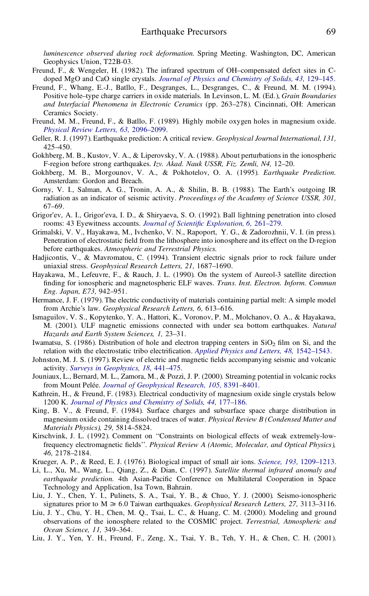*luminescence observed during rock deformation.* Spring Meeting. Washington, DC, American Geophysics Union, T22B-03.

- Freund, F., & Wengeler, H. (1982). The infrared spectrum of OH–compensated defect sites in Cdoped MgO and CaO single crystals. *Journal of Physics and [Chemistry](http://www.ingentaselect.com/rpsv/cgi-bin/linker?ext=a&reqidx=/0022-3697^28^2943L.129[aid=2289828]) of Solids, 43,* 129–145.
- Freund, F., Whang, E.-J., Batllo, F., Desgranges, L., Desgranges, C., & Freund, M. M. (1994). Positive hole–type charge carriers in oxide materials. In Levinson, L. M. (Ed.), *Grain Boundaries and Interfacial Phenomena in Electronic Ceramics* (pp. 263–278). Cincinnati, OH: American Ceramics Society.
- Freund, M. M., Freund, F., & Batllo, F. (1989). Highly mobile oxygen holes in magnesium oxide. *Physical Review Letters, 63,* [2096–2099.](http://www.ingentaselect.com/rpsv/cgi-bin/linker?ext=a&reqidx=/0031-9007^28^2963L.2096[aid=2289830])
- Geller, R. J. (1997). Earthquake prediction: A critical review. *Geophysical Journal International, 131,* 425–450.
- Gokhberg, M. B., Kustov, V. A., & Liperovsky, V. A. (1988). About perturbationsin the ionospheric F-region before strong earthquakes. *Izv. Akad. Nauk USSR, Fiz. Zemli, N4,* 12–20.
- Gokhberg, M. B., Morgounov, V. A., & Pokhotelov, O. A. (1995). *Earthquake Prediction.* Amsterdam: Gordon and Breach.
- Gorny, V. I., Salman, A. G., Tronin, A. A., & Shilin, B. B. (1988). The Earth's outgoing IR radiation as an indicator of seismic activity. *Proceedings of the Academy of Science USSR, 301,* 67–69.
- Grigor'ev, A. I., Grigor'eva, I. D., & Shiryaeva, S. O. (1992). Ball lightning penetration into closed rooms: 43 Eyewitness accounts. *Journal of Scientific Exploration*, 6, 261–279.
- Grimalski, V. V., Hayakawa, M., Ivchenko, V. N., Rapoport, Y. G., & Zadorozhnii, V. I. (in press). Penetration of electrostatic field from the lithosphere into ionosphere and its effect on the D-region before earthquakes. *Atmospheric and Terrestrial Physics.*
- Hadjicontis, V., & Mavromatou, C. (1994). Transient electric signals prior to rock failure under uniaxial stress. *Geophysical Research Letters, 21,* 1687–1690.
- Hayakawa, M., Lefeuvre, F., & Rauch, J. L. (1990). On the system of Aureol-3 satellite direction nding for ionospheric and magnetospheric ELF waves. *Trans. Inst. Electron. Inform. Commun Eng. Japan, E73,* 942–951.
- Hermance, J. F. (1979). The electric conductivity of materials containing partial melt: A simple model from Archie's law. *Geophysical Research Letters, 6,* 613–616.
- Ismaguilov, V. S., Kopytenko, Y. A., Hattori, K., Voronov, P. M., Molchanov, O. A., & Hayakawa, M. (2001). ULF magnetic emissions connected with under sea bottom earthquakes. *Natural Hazards and Earth System Sciences, 1,* 23–31.
- Iwamatsu, S. (1986). Distribution of hole and electron trapping centers in  $SiO<sub>2</sub>$  film on Si, and the relation with the electrostatic tribo electrification. *Applied Physics and Letters,* 48, [1542–1543.](http://www.ingentaselect.com/rpsv/cgi-bin/linker?ext=a&reqidx=/0003-6951^28^2948L.1542[aid=4800094])
- Johnston, M. J. S. (1997). Review of electric and magnetic fields accompanying seismic and volcanic activity. *Surveys in [Geophysics,](http://www.ingentaselect.com/rpsv/cgi-bin/linker?ext=a&reqidx=/0169-3298^28^2918L.441[aid=4800095]) 18,* 441–475.
- Jouniaux, L., Bernard, M. L., Zamora, M., & Pozzi, J. P. (2000). Streaming potential in volcanic rocks from Mount Pele´e. *Journal of [Geophysical](http://www.ingentaselect.com/rpsv/cgi-bin/linker?ext=a&reqidx=/0148-0227^28^29105L.8391[aid=4800096]) Research, 105,* 8391–8401.
- Kathrein, H., & Freund, F. (1983). Electrical conductivity of magnesium oxide single crystals below 1200 K. *Journal of Physics and [Chemistry](http://www.ingentaselect.com/rpsv/cgi-bin/linker?ext=a&reqidx=/0022-3697^28^2944L.177[aid=4800097]) of Solids, 44,* 177–186.
- King, B. V., & Freund, F. (1984). Surface charges and subsurface space charge distribution in magnesium oxide containing dissolved traces of water. *Physical Review B (Condensed Matter and Materials Physics), 29,* 5814–5824.
- Kirschvink, J. L. (1992). Comment on ''Constraints on biological effects of weak extremely-lowfrequency electromagnetic elds''. *Physical Review A (Atomic, Molecular, and Optical Physics), 46,* 2178–2184.
- Krueger, A. P., & Reed, E. J. (1976). Biological impact of small air ions. *Science, 193,* [1209–1213.](http://www.ingentaselect.com/rpsv/cgi-bin/linker?ext=a&reqidx=/0036-8075^28^29193L.1209[aid=2991679])
- Li, L., Xu, M., Wang, L., Qiang, Z., & Dian, C. (1997). *Satellite thermal infrared anomaly and earthquake prediction.* 4th Asian-Pacific Conference on Multilateral Cooperation in Space Technology and Application, Isa Town, Bahrain.
- Liu, J. Y., Chen, Y. I., Pulinets, S. A., Tsai, Y. B., & Chuo, Y. J. (2000). Seismo-ionospheric signatures prior to  $M \ge 6.0$  Taiwan earthquakes. *Geophysical Research Letters*, 27, 3113–3116.
- Liu, J. Y., Chu, Y. H., Chen, M. Q., Tsai, L. C., & Huang, C. M. (2000). Modeling and ground observations of the ionosphere related to the COSMIC project. *Terrestrial, Atmospheric and Ocean Science, 11,* 349–364.
- Liu, J. Y., Yen, Y. H., Freund, F., Zeng, X., Tsai, Y. B., Teh, Y. H., & Chen, C. H. (2001).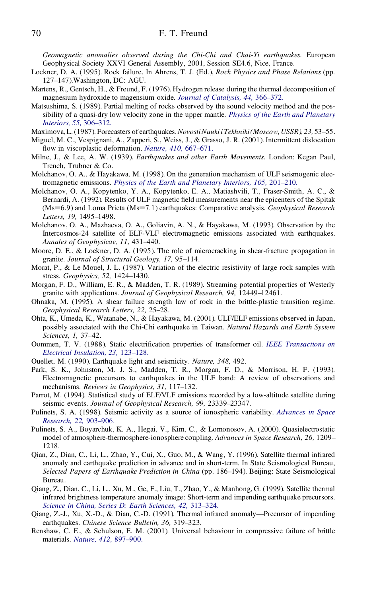*Geomagnetic anomalies observed during the Chi-Chi and Chai-Yi earthquakes.* European Geophysical Society XXVI General Assembly, 2001, Session SE4.6, Nice, France.

- Lockner, D. A. (1995). Rock failure. In Ahrens, T. J. (Ed.), *Rock Physics and Phase Relations* (pp. 127–147).Washington, DC: AGU.
- Martens, R., Gentsch, H., & Freund, F. (1976). Hydrogen release during the thermal decomposition of magnesium hydroxide to magensium oxide. *Journal of [Catalysis,](http://www.ingentaselect.com/rpsv/cgi-bin/linker?ext=a&reqidx=/0021-9517^28^2944L.366[aid=2289837]) 44,* 366–372.
- Matsushima, S. (1989). Partial melting of rocks observed by the sound velocity method and the possibility of a quasi-dry low velocity zone in the upper mantle. *Physics of the Earth and [Planetary](http://www.ingentaselect.com/rpsv/cgi-bin/linker?ext=a&reqidx=/0031-9201^28^2955L.306[aid=4800100]) [Interiors,](http://www.ingentaselect.com/rpsv/cgi-bin/linker?ext=a&reqidx=/0031-9201^28^2955L.306[aid=4800100]) 55,* 306–312.
- Maximova,L.(1987). Forecasters of earthquakes.*NovostiNauki i Tekhniki(Moscow,USSR), 23,* 53–55.
- Miguel, M. C., Vespignani, A., Zapperi, S., Weiss, J., & Grasso, J. R. (2001). Intermittent dislocation flow in viscoplastic deformation. *Nature*, 410, [667–671.](http://www.ingentaselect.com/rpsv/cgi-bin/linker?ext=a&reqidx=/0028-0836^28^29410L.667[aid=4800101])
- Milne, J., & Lee, A. W. (1939). *Earthquakes and other Earth Movements.* London: Kegan Paul, Trench, Trubner & Co.
- Molchanov, O. A., & Hayakawa, M. (1998). On the generation mechanism of ULF seismogenic electromagnetic emissions. *Physics of the Earth and [Planetary](http://www.ingentaselect.com/rpsv/cgi-bin/linker?ext=a&reqidx=/0031-9201^28^29105L.201[aid=4800102]) Interiors, 105,* 201–210.
- Molchanov, O. A., Kopytenko, Y. A., Kopytenko, E. A., Matiashvili, T., Fraser-Smith, A. C., & Bernardi, A. (1992). Results of ULF magnetic field measurements near the epicenters of the Spitak (Ms 6.9) and Loma Prieta (Ms 7.1) earthquakes: Comparative analysis. *Geophysical Research Letters, 19,* 1495–1498.
- Molchanov, O. A., Mazhaeva, O. A., Goliavin, A. N., & Hayakawa, M. (1993). Observation by the Intercosmos-24 satellite of ELF-VLF electromagnetic emissions associated with earthquakes. *Annales of Geophysicae, 11,* 431–440.
- Moore, D. E., & Lockner, D. A. (1995). The role of microcracking in shear-fracture propagation in granite. *Journal of Structural Geology, 17,* 95–114.
- Morat, P., & Le Mouel, J. L. (1987). Variation of the electric resistivity of large rock samples with stress. *Geophysics, 52,* 1424–1430.
- Morgan, F. D., William, E. R., & Madden, T. R. (1989). Streaming potential properties of Westerly granite with applications. *Journal of Geophysical Research, 94,* 12449–12461.
- Ohnaka, M. (1995). A shear failure strength law of rock in the brittle-plastic transition regime. *Geophysical Research Letters, 22,* 25–28.
- Ohta, K., Umeda, K., Watanabe, N., & Hayakawa, M. (2001). ULF/ELF emissions observed in Japan, possibly associated with the Chi-Chi earthquake in Taiwan. *Natural Hazards and Earth System Sciences, 1,* 37–42.
- Oommen, T. V. (1988). Static electrification properties of transformer oil. *IEEE [Transactions](http://www.ingentaselect.com/rpsv/cgi-bin/linker?ext=a&reqidx=/0018-9367^28^2923L.123[aid=4800109])* on *Electrical [Insulation,](http://www.ingentaselect.com/rpsv/cgi-bin/linker?ext=a&reqidx=/0018-9367^28^2923L.123[aid=4800109]) 23,* 123–128.
- Ouellet, M. (1990). Earthquake light and seismicity. *Nature, 348,* 492.
- Park, S. K., Johnston, M. J. S., Madden, T. R., Morgan, F. D., & Morrison, H. F. (1993). Electromagnetic precursors to earthquakes in the ULF band: A review of observations and mechanisms. *Reviews in Geophysics, 31,* 117–132.
- Parrot, M. (1994). Statistical study of ELF/VLF emissions recorded by a low-altitude satellite during seismic events. *Journal of Geophysical Research, 99,* 23339–23347.
- Pulinets, S. A. (1998). Seismic activity as a source of ionospheric variability. *[Advances](http://www.ingentaselect.com/rpsv/cgi-bin/linker?ext=a&reqidx=/0273-1177^28^2922L.903[aid=3334177]) in Space [Research,](http://www.ingentaselect.com/rpsv/cgi-bin/linker?ext=a&reqidx=/0273-1177^28^2922L.903[aid=3334177]) 22,* 903–906.
- Pulinets, S. A., Boyarchuk, K. A., Hegai, V., Kim, C., & Lomonosov, A. (2000). Quasielectrostatic model of atmosphere-thermosphere-ionosphere coupling. *Advances in Space Research, 26,* 1209– 1218.
- Qian, Z., Dian, C., Li, L., Zhao, Y., Cui, X., Guo, M., & Wang, Y. (1996). Satellite thermal infrared anomaly and earthquake prediction in advance and in short-term. In State Seismological Bureau, *Selected Papers of Earthquake Prediction in China* (pp. 186–194). Beijing: State Seismological Bureau.
- Qiang, Z., Dian, C., Li, L., Xu, M., Ge, F., Liu, T., Zhao, Y., & Manhong, G. (1999). Satellite thermal infrared brightness temperature anomaly image: Short-term and impending earthquake precursors. *Science in China, Series D: Earth Sciences, 42,* [313–324.](http://www.ingentaselect.com/rpsv/cgi-bin/linker?ext=a&reqidx=/1006-9313^28^2942L.313[aid=4800113])
- Qiang, Z.-J., Xu, X.-D., & Dian, C.-D. (1991). Thermal infrared anomaly—Precursor of impending earthquakes. *Chinese Science Bulletin, 36,* 319–323.
- Renshaw, C. E., & Schulson, E. M. (2001). Universal behaviour in compressive failure of brittle materials. *Nature, 412,* [897–900.](http://www.ingentaselect.com/rpsv/cgi-bin/linker?ext=a&reqidx=/0028-0836^28^29412L.897[aid=4800115])